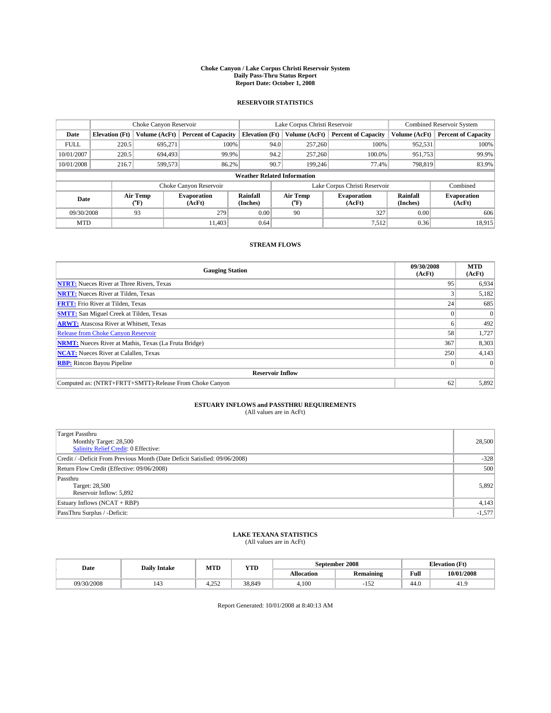#### **Choke Canyon / Lake Corpus Christi Reservoir System Daily Pass-Thru Status Report Report Date: October 1, 2008**

### **RESERVOIR STATISTICS**

|                                    | Choke Canyon Reservoir |                             | Lake Corpus Christi Reservoir |                       |                  |               | <b>Combined Reservoir System</b> |                      |                              |
|------------------------------------|------------------------|-----------------------------|-------------------------------|-----------------------|------------------|---------------|----------------------------------|----------------------|------------------------------|
| Date                               | <b>Elevation</b> (Ft)  | Volume (AcFt)               | <b>Percent of Capacity</b>    | <b>Elevation</b> (Ft) |                  | Volume (AcFt) | <b>Percent of Capacity</b>       | Volume (AcFt)        | <b>Percent of Capacity</b>   |
| <b>FULL</b>                        | 220.5                  | 695,271                     | 100%                          |                       | 94.0             | 257,260       | 100%                             | 952,531              | 100%                         |
| 10/01/2007                         | 220.5                  | 694.493                     | 99.9%                         |                       | 94.2             | 257,260       | 100.0%                           | 951,753              | 99.9%                        |
| 10/01/2008                         | 216.7                  | 599.573                     | 86.2%                         |                       | 90.7             | 199.246       | 77.4%                            | 798.819              | 83.9%                        |
| <b>Weather Related Information</b> |                        |                             |                               |                       |                  |               |                                  |                      |                              |
|                                    |                        |                             | Choke Canyon Reservoir        |                       |                  |               | Lake Corpus Christi Reservoir    |                      | Combined                     |
| Date                               |                        | Air Temp<br>${}^{\circ}$ F) | <b>Evaporation</b><br>(AcFt)  | Rainfall<br>(Inches)  | Air Temp<br>("F) |               | <b>Evaporation</b><br>(AcFt)     | Rainfall<br>(Inches) | <b>Evaporation</b><br>(AcFt) |
| 09/30/2008                         |                        | 93                          | 279                           | 0.00                  | 90               |               | 327                              | 0.00                 | 606                          |
| <b>MTD</b>                         |                        |                             | 11.403                        | 0.64                  |                  |               | 7,512                            | 0.36                 | 18,915                       |

### **STREAM FLOWS**

| <b>Gauging Station</b>                                       | 09/30/2008<br>(AcFt) | <b>MTD</b><br>(AcFt) |  |  |  |  |  |
|--------------------------------------------------------------|----------------------|----------------------|--|--|--|--|--|
| <b>NTRT:</b> Nueces River at Three Rivers, Texas             | 95                   | 6,934                |  |  |  |  |  |
| <b>NRTT:</b> Nueces River at Tilden, Texas                   |                      | 5,182                |  |  |  |  |  |
| <b>FRTT:</b> Frio River at Tilden, Texas                     | 24 <sub>1</sub>      | 685                  |  |  |  |  |  |
| <b>SMTT:</b> San Miguel Creek at Tilden, Texas               |                      |                      |  |  |  |  |  |
| <b>ARWT:</b> Atascosa River at Whitsett, Texas               | n.                   | 492                  |  |  |  |  |  |
| <b>Release from Choke Canyon Reservoir</b>                   | 58                   | 1,727                |  |  |  |  |  |
| <b>NRMT:</b> Nueces River at Mathis, Texas (La Fruta Bridge) | 367                  | 8,303                |  |  |  |  |  |
| <b>NCAT:</b> Nueces River at Calallen, Texas                 | 250                  | 4,143                |  |  |  |  |  |
| <b>RBP:</b> Rincon Bayou Pipeline                            | $\overline{0}$       |                      |  |  |  |  |  |
| <b>Reservoir Inflow</b>                                      |                      |                      |  |  |  |  |  |
| Computed as: (NTRT+FRTT+SMTT)-Release From Choke Canyon      | 62                   | 5,892                |  |  |  |  |  |

# **ESTUARY INFLOWS and PASSTHRU REQUIREMENTS**<br>(All values are in AcFt)

| <b>Target Passthru</b><br>Monthly Target: 28,500<br>Salinity Relief Credit: 0 Effective: | 28,500   |
|------------------------------------------------------------------------------------------|----------|
| Credit / -Deficit From Previous Month (Date Deficit Satisfied: 09/06/2008)               | $-328$   |
| Return Flow Credit (Effective: 09/06/2008)                                               | 500      |
| Passthru<br>Target: 28,500<br>Reservoir Inflow: 5,892                                    | 5,892    |
| Estuary Inflows (NCAT + RBP)                                                             | 4,143    |
| PassThru Surplus / -Deficit:                                                             | $-1,577$ |

## **LAKE TEXANA STATISTICS** (All values are in AcFt)

| Date       | <b>Daily Intake</b> | MTD           | YTD    |            | September 2008   | <b>Elevation</b> (Ft) |            |
|------------|---------------------|---------------|--------|------------|------------------|-----------------------|------------|
|            |                     |               |        | Allocation | <b>Remaining</b> | Full                  | 10/01/2008 |
| 09/30/2008 | $\overline{1}$      | 252<br>7.LJ 4 | 38.849 | 4.100      | م تا             | 44.0                  | 41.        |

Report Generated: 10/01/2008 at 8:40:13 AM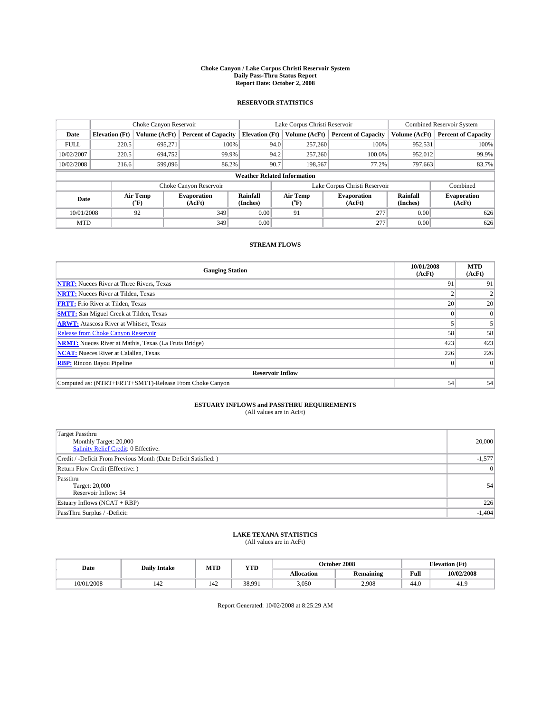#### **Choke Canyon / Lake Corpus Christi Reservoir System Daily Pass-Thru Status Report Report Date: October 2, 2008**

### **RESERVOIR STATISTICS**

|             |                                    | Choke Canyon Reservoir |                              |                       | Lake Corpus Christi Reservoir | <b>Combined Reservoir System</b> |                      |                              |  |
|-------------|------------------------------------|------------------------|------------------------------|-----------------------|-------------------------------|----------------------------------|----------------------|------------------------------|--|
| Date        | <b>Elevation</b> (Ft)              | Volume (AcFt)          | <b>Percent of Capacity</b>   | <b>Elevation (Ft)</b> | Volume (AcFt)                 | <b>Percent of Capacity</b>       | Volume (AcFt)        | <b>Percent of Capacity</b>   |  |
| <b>FULL</b> | 220.5                              | 695,271                | 100%                         | 94.0                  | 257,260                       | 100%                             | 952,531              | 100%                         |  |
| 10/02/2007  | 220.5                              | 694,752                | 99.9%                        | 94.2                  | 257,260                       | 100.0%                           | 952,012              | 99.9%                        |  |
| 10/02/2008  | 216.6                              | 599,096                | 86.2%                        | 90.7                  | 198,567                       | 77.2%                            | 797,663              | 83.7%                        |  |
|             | <b>Weather Related Information</b> |                        |                              |                       |                               |                                  |                      |                              |  |
|             |                                    |                        | Choke Canyon Reservoir       |                       |                               | Lake Corpus Christi Reservoir    |                      | Combined                     |  |
| Date        |                                    | Air Temp<br>(°F)       | <b>Evaporation</b><br>(AcFt) | Rainfall<br>(Inches)  | Air Temp<br>("F)              | <b>Evaporation</b><br>(AcFt)     | Rainfall<br>(Inches) | <b>Evaporation</b><br>(AcFt) |  |
| 10/01/2008  |                                    | 92                     | 349                          | 0.00                  | 91                            | 277                              | 0.00                 | 626                          |  |
| <b>MTD</b>  |                                    |                        | 349                          | 0.00                  |                               | 277                              | 0.00                 | 626                          |  |

### **STREAM FLOWS**

| <b>Gauging Station</b>                                       | 10/01/2008<br>(AcFt) | <b>MTD</b><br>(AcFt) |  |  |  |  |  |
|--------------------------------------------------------------|----------------------|----------------------|--|--|--|--|--|
| <b>NTRT:</b> Nueces River at Three Rivers, Texas             | 91                   | 91                   |  |  |  |  |  |
| <b>NRTT:</b> Nueces River at Tilden, Texas                   |                      |                      |  |  |  |  |  |
| <b>FRTT:</b> Frio River at Tilden, Texas                     | 20                   | 20                   |  |  |  |  |  |
| <b>SMTT:</b> San Miguel Creek at Tilden, Texas               |                      | $\Omega$             |  |  |  |  |  |
| <b>ARWT:</b> Atascosa River at Whitsett, Texas               |                      |                      |  |  |  |  |  |
| <b>Release from Choke Canyon Reservoir</b>                   | 58                   | 58                   |  |  |  |  |  |
| <b>NRMT:</b> Nueces River at Mathis, Texas (La Fruta Bridge) | 423                  | 423                  |  |  |  |  |  |
| <b>NCAT:</b> Nueces River at Calallen, Texas                 | 226                  | 226                  |  |  |  |  |  |
| <b>RBP:</b> Rincon Bayou Pipeline                            |                      | $\Omega$             |  |  |  |  |  |
| <b>Reservoir Inflow</b>                                      |                      |                      |  |  |  |  |  |
| Computed as: (NTRT+FRTT+SMTT)-Release From Choke Canyon      | 54                   | 54                   |  |  |  |  |  |

# **ESTUARY INFLOWS and PASSTHRU REQUIREMENTS**<br>(All values are in AcFt)

| Target Passthru<br>Monthly Target: 20,000<br><b>Salinity Relief Credit: 0 Effective:</b> | 20,000          |
|------------------------------------------------------------------------------------------|-----------------|
| Credit / -Deficit From Previous Month (Date Deficit Satisfied: )                         | $-1,577$        |
| Return Flow Credit (Effective: )                                                         | $\vert 0 \vert$ |
| Passthru<br>Target: 20,000<br>Reservoir Inflow: 54                                       | 54              |
| Estuary Inflows (NCAT + RBP)                                                             | 226             |
| PassThru Surplus / -Deficit:                                                             | $-1,404$        |

## **LAKE TEXANA STATISTICS** (All values are in AcFt)

| Date       | <b>Daily Intake</b> | MTD | YTD    |                   | October 2008     | <b>Elevation</b> (Ft)                   |            |
|------------|---------------------|-----|--------|-------------------|------------------|-----------------------------------------|------------|
|            |                     |     |        | <b>Allocation</b> | <b>Remaining</b> | Full<br>the contract of the contract of | 10/02/2008 |
| 10/01/2008 | 142                 | 142 | 38.991 | 3,050             | 2.908            | 44.0                                    | 41.        |

Report Generated: 10/02/2008 at 8:25:29 AM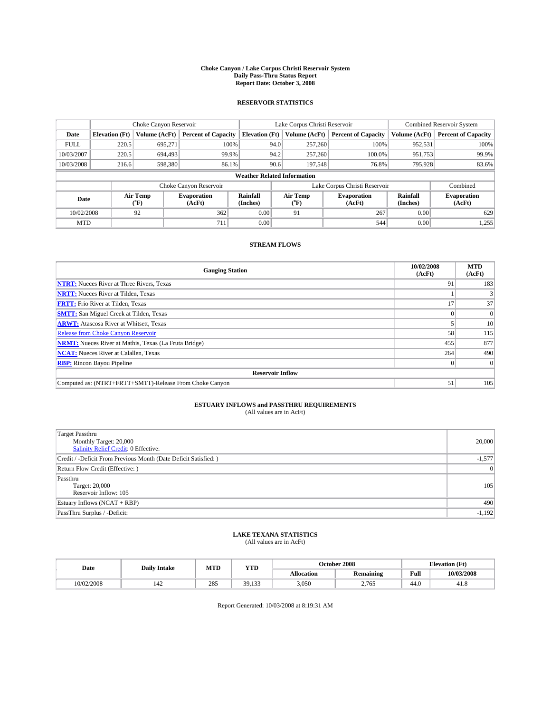#### **Choke Canyon / Lake Corpus Christi Reservoir System Daily Pass-Thru Status Report Report Date: October 3, 2008**

### **RESERVOIR STATISTICS**

|                                    | Choke Canyon Reservoir |                  |                              |                       | Lake Corpus Christi Reservoir | <b>Combined Reservoir System</b> |                      |                              |
|------------------------------------|------------------------|------------------|------------------------------|-----------------------|-------------------------------|----------------------------------|----------------------|------------------------------|
| Date                               | <b>Elevation</b> (Ft)  | Volume (AcFt)    | <b>Percent of Capacity</b>   | <b>Elevation</b> (Ft) | Volume (AcFt)                 | <b>Percent of Capacity</b>       | Volume (AcFt)        | <b>Percent of Capacity</b>   |
| <b>FULL</b>                        | 220.5                  | 695,271          | 100%                         | 94.0                  | 257,260                       | 100%                             | 952,531              | 100%                         |
| 10/03/2007                         | 220.5                  | 694.493          | 99.9%                        | 94.2                  | 257,260                       | 100.0%                           | 951,753              | 99.9%                        |
| 10/03/2008                         | 216.6                  | 598,380          | 86.1%                        | 90.6                  | 197,548                       | 76.8%                            | 795,928              | 83.6%                        |
| <b>Weather Related Information</b> |                        |                  |                              |                       |                               |                                  |                      |                              |
|                                    |                        |                  | Choke Canyon Reservoir       |                       |                               | Lake Corpus Christi Reservoir    |                      | Combined                     |
| Date                               |                        | Air Temp<br>(°F) | <b>Evaporation</b><br>(AcFt) | Rainfall<br>(Inches)  | Air Temp<br>("F)              | <b>Evaporation</b><br>(AcFt)     | Rainfall<br>(Inches) | <b>Evaporation</b><br>(AcFt) |
| 10/02/2008                         |                        | 92               | 362                          | 0.00                  | 91                            | 267                              | 0.00                 | 629                          |
| <b>MTD</b>                         |                        |                  | 711                          | 0.00                  |                               | 544                              | 0.00                 | 1,255                        |

### **STREAM FLOWS**

| <b>Gauging Station</b>                                       | 10/02/2008<br>(AcFt) | <b>MTD</b><br>(AcFt) |
|--------------------------------------------------------------|----------------------|----------------------|
| <b>NTRT:</b> Nueces River at Three Rivers, Texas             | 91                   | 183                  |
| <b>NRTT:</b> Nueces River at Tilden, Texas                   |                      |                      |
| <b>FRTT:</b> Frio River at Tilden, Texas                     | 17                   | 37                   |
| <b>SMTT:</b> San Miguel Creek at Tilden, Texas               |                      |                      |
| <b>ARWT:</b> Atascosa River at Whitsett, Texas               |                      | 10                   |
| <b>Release from Choke Canyon Reservoir</b>                   | 58                   | 115                  |
| <b>NRMT:</b> Nueces River at Mathis, Texas (La Fruta Bridge) | 455                  | 877                  |
| <b>NCAT:</b> Nueces River at Calallen, Texas                 | 264                  | 490                  |
| <b>RBP:</b> Rincon Bayou Pipeline                            | $\overline{0}$       |                      |
| <b>Reservoir Inflow</b>                                      |                      |                      |
| Computed as: (NTRT+FRTT+SMTT)-Release From Choke Canyon      | 51                   | 105                  |

# **ESTUARY INFLOWS and PASSTHRU REQUIREMENTS**<br>(All values are in AcFt)

| Target Passthru<br>Monthly Target: 20,000<br><b>Salinity Relief Credit: 0 Effective:</b> | 20,000          |
|------------------------------------------------------------------------------------------|-----------------|
| Credit / -Deficit From Previous Month (Date Deficit Satisfied: )                         | $-1,577$        |
| Return Flow Credit (Effective: )                                                         | $\vert 0 \vert$ |
| Passthru<br>Target: 20,000<br>Reservoir Inflow: 105                                      | 105             |
| Estuary Inflows (NCAT + RBP)                                                             | 490             |
| PassThru Surplus / -Deficit:                                                             | $-1,192$        |

## **LAKE TEXANA STATISTICS** (All values are in AcFt)

| Date       | <b>Daily Intake</b> | MTD | <b>WTPD</b><br>1 I D           | October 2008      |           | <b>Elevation</b> (Ft) |            |
|------------|---------------------|-----|--------------------------------|-------------------|-----------|-----------------------|------------|
|            |                     |     |                                | <b>Allocation</b> | Remaining | Full                  | 10/03/2008 |
| 10/02/2008 | 144                 | 285 | 30<br>$\sim$<br><i><u></u></i> | 3,050             | 2.765     | 44.0                  | 41.8       |

Report Generated: 10/03/2008 at 8:19:31 AM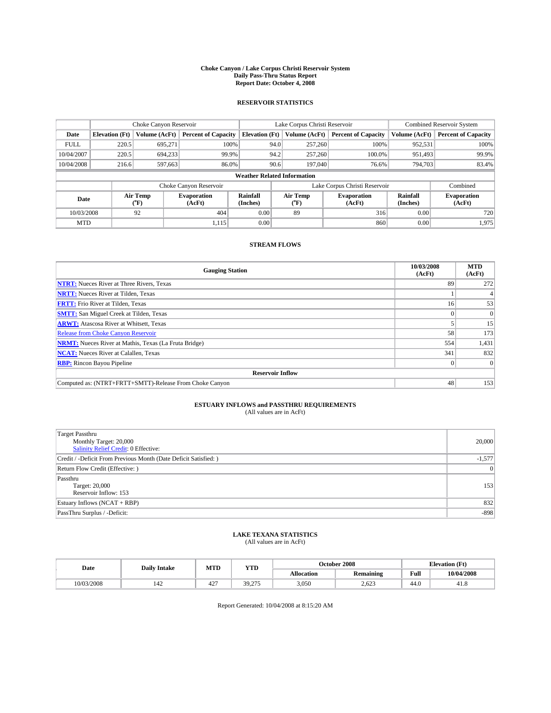#### **Choke Canyon / Lake Corpus Christi Reservoir System Daily Pass-Thru Status Report Report Date: October 4, 2008**

### **RESERVOIR STATISTICS**

|             | Choke Canyon Reservoir             |                  |                              |                       | Lake Corpus Christi Reservoir | <b>Combined Reservoir System</b> |                      |                              |  |
|-------------|------------------------------------|------------------|------------------------------|-----------------------|-------------------------------|----------------------------------|----------------------|------------------------------|--|
| Date        | <b>Elevation</b> (Ft)              | Volume (AcFt)    | <b>Percent of Capacity</b>   | <b>Elevation</b> (Ft) | Volume (AcFt)                 | <b>Percent of Capacity</b>       | Volume (AcFt)        | <b>Percent of Capacity</b>   |  |
| <b>FULL</b> | 220.5                              | 695,271          | 100%                         |                       | 257,260<br>94.0               | 100%                             | 952,531              | 100%                         |  |
| 10/04/2007  | 220.5                              | 694.233          | 99.9%                        |                       | 257,260<br>94.2               | 100.0%                           | 951,493              | 99.9%                        |  |
| 10/04/2008  | 216.6                              | 597,663          | 86.0%                        |                       | 90.6<br>197,040               | 76.6%                            | 794,703              | 83.4%                        |  |
|             | <b>Weather Related Information</b> |                  |                              |                       |                               |                                  |                      |                              |  |
|             |                                    |                  | Choke Canyon Reservoir       |                       | Lake Corpus Christi Reservoir |                                  |                      | Combined                     |  |
| Date        |                                    | Air Temp<br>(°F) | <b>Evaporation</b><br>(AcFt) | Rainfall<br>(Inches)  | Air Temp<br>("F)              | <b>Evaporation</b><br>(AcFt)     | Rainfall<br>(Inches) | <b>Evaporation</b><br>(AcFt) |  |
| 10/03/2008  |                                    | 92               | 404                          | 0.00                  | 89                            | 316                              | 0.00                 | 720                          |  |
| <b>MTD</b>  |                                    |                  | 1,115                        | 0.00                  |                               | 860                              | 0.00                 | 1,975                        |  |

### **STREAM FLOWS**

| <b>Gauging Station</b>                                       | 10/03/2008<br>(AcFt) | <b>MTD</b><br>(AcFt) |  |  |  |  |
|--------------------------------------------------------------|----------------------|----------------------|--|--|--|--|
| <b>NTRT:</b> Nueces River at Three Rivers, Texas             | 89                   | 272                  |  |  |  |  |
| <b>NRTT:</b> Nueces River at Tilden, Texas                   |                      |                      |  |  |  |  |
| <b>FRTT:</b> Frio River at Tilden, Texas                     | 16 <sup>1</sup>      | 53                   |  |  |  |  |
| <b>SMTT:</b> San Miguel Creek at Tilden, Texas               |                      |                      |  |  |  |  |
| <b>ARWT:</b> Atascosa River at Whitsett, Texas               |                      | 15                   |  |  |  |  |
| <b>Release from Choke Canyon Reservoir</b>                   | 58                   | 173                  |  |  |  |  |
| <b>NRMT:</b> Nueces River at Mathis, Texas (La Fruta Bridge) | 554                  | 1,431                |  |  |  |  |
| <b>NCAT:</b> Nueces River at Calallen, Texas                 | 341                  | 832                  |  |  |  |  |
| <b>RBP:</b> Rincon Bayou Pipeline                            | $\Omega$             |                      |  |  |  |  |
| <b>Reservoir Inflow</b>                                      |                      |                      |  |  |  |  |
| Computed as: (NTRT+FRTT+SMTT)-Release From Choke Canyon      | 48                   | 153                  |  |  |  |  |

# **ESTUARY INFLOWS and PASSTHRU REQUIREMENTS**<br>(All values are in AcFt)

| Target Passthru<br>Monthly Target: 20,000<br><b>Salinity Relief Credit: 0 Effective:</b> | 20,000   |
|------------------------------------------------------------------------------------------|----------|
| Credit / -Deficit From Previous Month (Date Deficit Satisfied: )                         | $-1,577$ |
| Return Flow Credit (Effective: )                                                         | 0        |
| Passthru<br>Target: 20,000<br>Reservoir Inflow: 153                                      | 153      |
| Estuary Inflows $(NCAT + RBP)$                                                           | 832      |
| PassThru Surplus / -Deficit:                                                             | $-898$   |

## **LAKE TEXANA STATISTICS** (All values are in AcFt)

| Date       | <b>Daily Intake</b> | MTD           | <b>WTPD</b><br>1 I D    |                   | October 2008 | Elevation (Ft) |            |
|------------|---------------------|---------------|-------------------------|-------------------|--------------|----------------|------------|
|            |                     |               |                         | <b>Allocation</b> | Remaining    | Full           | 10/04/2008 |
| 10/03/2008 | 142                 | $\sim$<br>44. | 30<br>275<br>ر ، ست د ب | 3,050             | 2.623        | 44.0           | 41.8       |

Report Generated: 10/04/2008 at 8:15:20 AM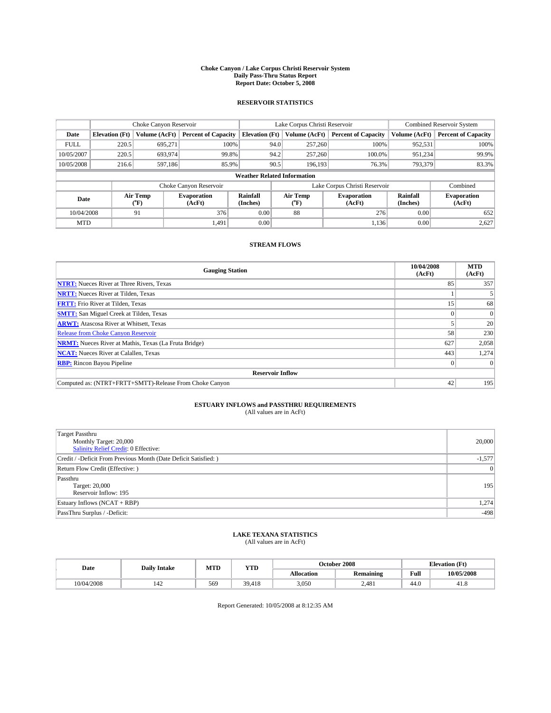#### **Choke Canyon / Lake Corpus Christi Reservoir System Daily Pass-Thru Status Report Report Date: October 5, 2008**

### **RESERVOIR STATISTICS**

|             | Choke Canyon Reservoir             |                          |                              |                       | Lake Corpus Christi Reservoir        | <b>Combined Reservoir System</b> |                      |                              |  |
|-------------|------------------------------------|--------------------------|------------------------------|-----------------------|--------------------------------------|----------------------------------|----------------------|------------------------------|--|
| Date        | <b>Elevation</b> (Ft)              | Volume (AcFt)            | <b>Percent of Capacity</b>   | <b>Elevation</b> (Ft) | Volume (AcFt)                        | <b>Percent of Capacity</b>       | Volume (AcFt)        | <b>Percent of Capacity</b>   |  |
| <b>FULL</b> | 220.5                              | 695,271                  | 100%                         | 94.0                  | 257,260                              | 100%                             | 952,531              | 100%                         |  |
| 10/05/2007  | 220.5                              | 693,974                  | 99.8%                        | 94.2                  | 257,260                              | 100.0%                           | 951.234              | 99.9%                        |  |
| 10/05/2008  | 216.6                              | 597.186                  | 85.9%                        | 90.5                  | 196.193                              | 76.3%                            | 793,379              | 83.3%                        |  |
|             | <b>Weather Related Information</b> |                          |                              |                       |                                      |                                  |                      |                              |  |
|             |                                    |                          | Choke Canyon Reservoir       |                       | Lake Corpus Christi Reservoir        |                                  |                      | Combined                     |  |
| Date        |                                    | Air Temp<br>$\rm ^{o}F)$ | <b>Evaporation</b><br>(AcFt) | Rainfall<br>(Inches)  | Air Temp<br>$^{\prime\prime} \rm{F}$ | <b>Evaporation</b><br>(AcFt)     | Rainfall<br>(Inches) | <b>Evaporation</b><br>(AcFt) |  |
| 10/04/2008  |                                    | 91                       | 376                          | 0.00                  | 88                                   | 276                              | 0.00                 | 652                          |  |
| <b>MTD</b>  |                                    |                          | 1,491                        | 0.00                  |                                      | 1,136                            | 0.00                 | 2,627                        |  |

### **STREAM FLOWS**

| <b>Gauging Station</b>                                       | 10/04/2008<br>(AcFt) | <b>MTD</b><br>(AcFt) |
|--------------------------------------------------------------|----------------------|----------------------|
| <b>NTRT:</b> Nueces River at Three Rivers, Texas             | 85                   | 357                  |
| <b>NRTT:</b> Nueces River at Tilden, Texas                   |                      |                      |
| <b>FRTT:</b> Frio River at Tilden, Texas                     | 15                   | 68                   |
| <b>SMTT:</b> San Miguel Creek at Tilden, Texas               |                      |                      |
| <b>ARWT:</b> Atascosa River at Whitsett, Texas               |                      | 20                   |
| <b>Release from Choke Canyon Reservoir</b>                   | 58                   | 230                  |
| <b>NRMT:</b> Nueces River at Mathis, Texas (La Fruta Bridge) | 627                  | 2,058                |
| <b>NCAT:</b> Nueces River at Calallen, Texas                 | 443                  | 1,274                |
| <b>RBP:</b> Rincon Bayou Pipeline                            | $\theta$             |                      |
| <b>Reservoir Inflow</b>                                      |                      |                      |
| Computed as: (NTRT+FRTT+SMTT)-Release From Choke Canyon      | 42                   | 195                  |

# **ESTUARY INFLOWS and PASSTHRU REQUIREMENTS**<br>(All values are in AcFt)

| Target Passthru<br>Monthly Target: 20,000<br>Salinity Relief Credit: 0 Effective: | 20,000   |
|-----------------------------------------------------------------------------------|----------|
| Credit / -Deficit From Previous Month (Date Deficit Satisfied: )                  | $-1,577$ |
| Return Flow Credit (Effective:)                                                   | 0        |
| Passthru<br>Target: 20,000<br>Reservoir Inflow: 195                               | 195      |
| Estuary Inflows (NCAT + RBP)                                                      | 1,274    |
| PassThru Surplus / -Deficit:                                                      | $-498$   |

# **LAKE TEXANA STATISTICS** (All values are in AcFt)

| Date       | <b>Daily Intake</b> | MTD | <b>WTPD</b><br>1 I D |                   | October 2008 | <b>Elevation</b> (Ft) |              |
|------------|---------------------|-----|----------------------|-------------------|--------------|-----------------------|--------------|
|            |                     |     |                      | <b>Allocation</b> | Remaining    | Full                  | 10/05/2008   |
| 10/04/2008 | 144                 | 569 | 39.418               | 3,050             | 2,481        | 44.0                  | - 62<br>41.8 |

Report Generated: 10/05/2008 at 8:12:35 AM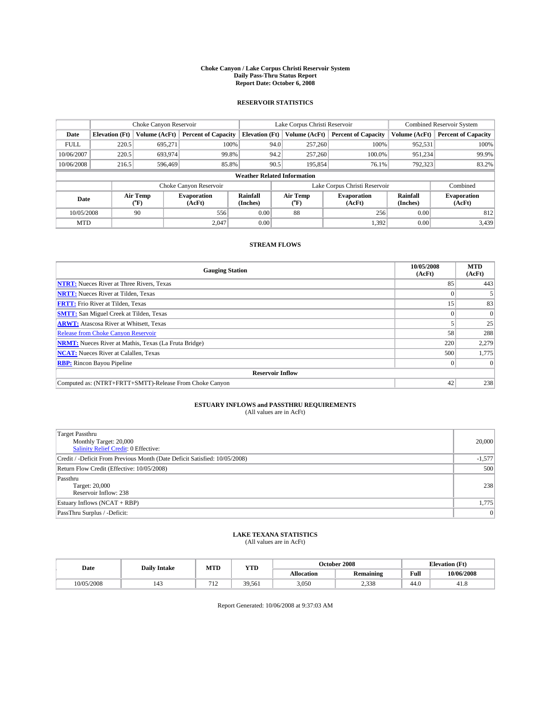#### **Choke Canyon / Lake Corpus Christi Reservoir System Daily Pass-Thru Status Report Report Date: October 6, 2008**

### **RESERVOIR STATISTICS**

|             | Choke Canyon Reservoir             |                  |                              |                       | Lake Corpus Christi Reservoir |                  |                              |                      | <b>Combined Reservoir System</b> |  |
|-------------|------------------------------------|------------------|------------------------------|-----------------------|-------------------------------|------------------|------------------------------|----------------------|----------------------------------|--|
| Date        | <b>Elevation</b> (Ft)              | Volume (AcFt)    | <b>Percent of Capacity</b>   | <b>Elevation</b> (Ft) |                               | Volume (AcFt)    | <b>Percent of Capacity</b>   | Volume (AcFt)        | <b>Percent of Capacity</b>       |  |
| <b>FULL</b> | 220.5                              | 695,271          | 100%                         |                       | 94.0                          | 257,260          | 100%                         | 952,531              | 100%                             |  |
| 10/06/2007  | 220.5                              | 693,974          | 99.8%                        |                       | 94.2                          | 257,260          | 100.0%                       | 951,234              | 99.9%                            |  |
| 10/06/2008  | 216.5                              | 596,469          | 85.8%                        |                       | 90.5                          | 195,854          | 76.1%                        | 792,323              | 83.2%                            |  |
|             | <b>Weather Related Information</b> |                  |                              |                       |                               |                  |                              |                      |                                  |  |
|             |                                    |                  | Choke Canyon Reservoir       |                       | Lake Corpus Christi Reservoir |                  |                              |                      | Combined                         |  |
| Date        |                                    | Air Temp<br>(°F) | <b>Evaporation</b><br>(AcFt) | Rainfall<br>(Inches)  |                               | Air Temp<br>("F) | <b>Evaporation</b><br>(AcFt) | Rainfall<br>(Inches) | <b>Evaporation</b><br>(AcFt)     |  |
| 10/05/2008  |                                    | 90               | 556                          | 0.00                  |                               | 88               | 256                          | 0.00                 | 812                              |  |
| <b>MTD</b>  |                                    |                  | 2.047                        | 0.00                  |                               |                  | 1,392                        | 0.00                 | 3,439                            |  |

### **STREAM FLOWS**

| <b>Gauging Station</b>                                       | 10/05/2008<br>(AcFt) | <b>MTD</b><br>(AcFt) |
|--------------------------------------------------------------|----------------------|----------------------|
| <b>NTRT:</b> Nueces River at Three Rivers, Texas             | 85                   | 443                  |
| <b>NRTT:</b> Nueces River at Tilden, Texas                   |                      |                      |
| <b>FRTT:</b> Frio River at Tilden, Texas                     | 15                   | 83                   |
| <b>SMTT:</b> San Miguel Creek at Tilden, Texas               |                      |                      |
| <b>ARWT:</b> Atascosa River at Whitsett, Texas               |                      | 25                   |
| <b>Release from Choke Canyon Reservoir</b>                   | 58                   | 288                  |
| <b>NRMT:</b> Nueces River at Mathis, Texas (La Fruta Bridge) | 220                  | 2,279                |
| <b>NCAT:</b> Nueces River at Calallen, Texas                 | 500                  | 1,775                |
| <b>RBP:</b> Rincon Bayou Pipeline                            | $\theta$             |                      |
| <b>Reservoir Inflow</b>                                      |                      |                      |
| Computed as: (NTRT+FRTT+SMTT)-Release From Choke Canyon      | 42                   | 238                  |

# **ESTUARY INFLOWS and PASSTHRU REQUIREMENTS**<br>(All values are in AcFt)

| <b>Target Passthru</b><br>Monthly Target: 20,000<br>Salinity Relief Credit: 0 Effective: | 20,000         |
|------------------------------------------------------------------------------------------|----------------|
| Credit / -Deficit From Previous Month (Date Deficit Satisfied: 10/05/2008)               | $-1,577$       |
| Return Flow Credit (Effective: 10/05/2008)                                               | 500            |
| Passthru<br>Target: 20,000<br>Reservoir Inflow: 238                                      | 238            |
| Estuary Inflows (NCAT + RBP)                                                             | 1,775          |
| PassThru Surplus / -Deficit:                                                             | $\overline{0}$ |

## **LAKE TEXANA STATISTICS** (All values are in AcFt)

| Date       | <b>Daily Intake</b> | MTD                   | YTD    | October 2008 |                  |                | <b>Elevation</b> (Ft) |
|------------|---------------------|-----------------------|--------|--------------|------------------|----------------|-----------------------|
|            |                     |                       |        | Allocation   | <b>Remaining</b> | Full           | 10/06/2008            |
| 10/05/2008 | $\sim$<br>143       | 712<br>$\overline{1}$ | 39.561 | 3.050        | 2.338            | $\sim$<br>44.U | 41.8                  |

Report Generated: 10/06/2008 at 9:37:03 AM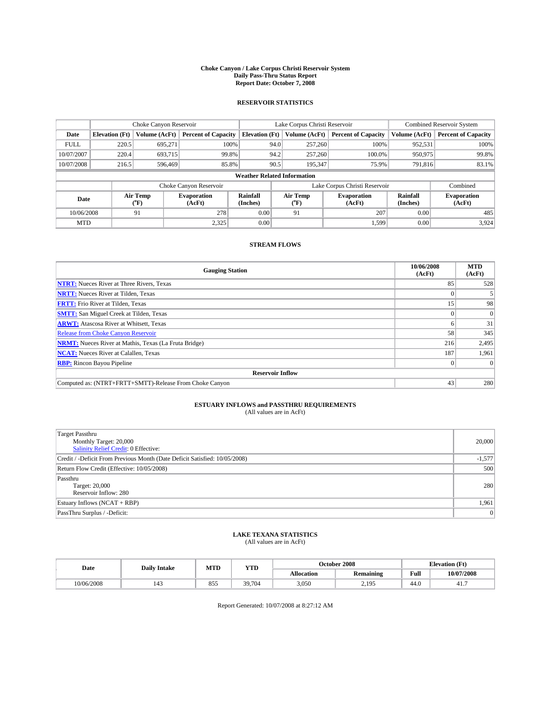#### **Choke Canyon / Lake Corpus Christi Reservoir System Daily Pass-Thru Status Report Report Date: October 7, 2008**

### **RESERVOIR STATISTICS**

|             | Choke Canyon Reservoir             |                  |                              |                       | Lake Corpus Christi Reservoir | <b>Combined Reservoir System</b> |                      |                              |  |  |
|-------------|------------------------------------|------------------|------------------------------|-----------------------|-------------------------------|----------------------------------|----------------------|------------------------------|--|--|
| Date        | <b>Elevation</b> (Ft)              | Volume (AcFt)    | <b>Percent of Capacity</b>   | <b>Elevation</b> (Ft) | Volume (AcFt)                 | <b>Percent of Capacity</b>       | Volume (AcFt)        | <b>Percent of Capacity</b>   |  |  |
| <b>FULL</b> | 220.5                              | 695,271          | 100%                         | 94.0                  | 257,260                       | 100%                             | 952,531              | 100%                         |  |  |
| 10/07/2007  | 220.4                              | 693.715          | 99.8%                        | 94.2                  | 257,260                       | 100.0%                           | 950,975              | 99.8%                        |  |  |
| 10/07/2008  | 216.5                              | 596,469          | 85.8%                        | 90.5                  | 195,347                       | 75.9%                            | 791,816              | 83.1%                        |  |  |
|             | <b>Weather Related Information</b> |                  |                              |                       |                               |                                  |                      |                              |  |  |
|             |                                    |                  | Choke Canyon Reservoir       |                       |                               | Lake Corpus Christi Reservoir    |                      | Combined                     |  |  |
| Date        |                                    | Air Temp<br>(°F) | <b>Evaporation</b><br>(AcFt) | Rainfall<br>(Inches)  | Air Temp<br>("F)              | <b>Evaporation</b><br>(AcFt)     | Rainfall<br>(Inches) | <b>Evaporation</b><br>(AcFt) |  |  |
| 10/06/2008  |                                    | 91               | 278                          | 0.00                  | 91                            | 207                              | 0.00                 | 485                          |  |  |
| <b>MTD</b>  |                                    |                  | 2.325                        | 0.00                  |                               | 1.599                            | 0.00                 | 3,924                        |  |  |

### **STREAM FLOWS**

| <b>Gauging Station</b>                                       | 10/06/2008<br>(AcFt) | <b>MTD</b><br>(AcFt) |
|--------------------------------------------------------------|----------------------|----------------------|
| <b>NTRT:</b> Nueces River at Three Rivers, Texas             | 85                   | 528                  |
| <b>NRTT:</b> Nueces River at Tilden, Texas                   |                      |                      |
| <b>FRTT:</b> Frio River at Tilden, Texas                     | 15                   | 98                   |
| <b>SMTT:</b> San Miguel Creek at Tilden, Texas               |                      |                      |
| <b>ARWT:</b> Atascosa River at Whitsett, Texas               | n.                   | 31                   |
| <b>Release from Choke Canyon Reservoir</b>                   | 58                   | 345                  |
| <b>NRMT:</b> Nueces River at Mathis, Texas (La Fruta Bridge) | 216                  | 2,495                |
| <b>NCAT:</b> Nueces River at Calallen, Texas                 | 187                  | 1,961                |
| <b>RBP:</b> Rincon Bayou Pipeline                            | $\theta$             |                      |
| <b>Reservoir Inflow</b>                                      |                      |                      |
| Computed as: (NTRT+FRTT+SMTT)-Release From Choke Canyon      | 43                   | 280                  |

# **ESTUARY INFLOWS and PASSTHRU REQUIREMENTS**<br>(All values are in AcFt)

| <b>Target Passthru</b><br>Monthly Target: 20,000<br>Salinity Relief Credit: 0 Effective: | 20,000         |
|------------------------------------------------------------------------------------------|----------------|
| Credit / -Deficit From Previous Month (Date Deficit Satisfied: 10/05/2008)               | $-1,577$       |
| Return Flow Credit (Effective: 10/05/2008)                                               | 500            |
| Passthru<br>Target: 20,000<br>Reservoir Inflow: 280                                      | 280            |
| Estuary Inflows (NCAT + RBP)                                                             | 1,961          |
| PassThru Surplus / -Deficit:                                                             | $\overline{0}$ |

## **LAKE TEXANA STATISTICS** (All values are in AcFt)

| Date       | <b>Daily Intake</b> | MTD        | <b>YTD</b> | October 2008<br><b>Elevation</b> (Ft) |                  |      |            |
|------------|---------------------|------------|------------|---------------------------------------|------------------|------|------------|
|            |                     |            |            | Allocation                            | <b>Remaining</b> | Full | 10/07/2008 |
| 10/06/2008 |                     | Q55<br>833 | 39,704     | 3,050                                 | 195<br><u>_</u>  | 44.0 | 41.        |

Report Generated: 10/07/2008 at 8:27:12 AM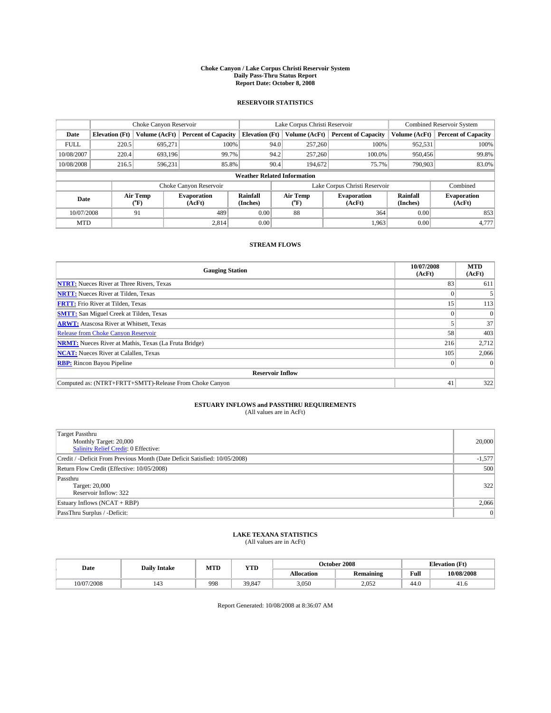#### **Choke Canyon / Lake Corpus Christi Reservoir System Daily Pass-Thru Status Report Report Date: October 8, 2008**

### **RESERVOIR STATISTICS**

|             | Choke Canyon Reservoir             |                  |                              |                       | Lake Corpus Christi Reservoir | <b>Combined Reservoir System</b> |                      |                              |  |  |
|-------------|------------------------------------|------------------|------------------------------|-----------------------|-------------------------------|----------------------------------|----------------------|------------------------------|--|--|
| Date        | <b>Elevation</b> (Ft)              | Volume (AcFt)    | <b>Percent of Capacity</b>   | <b>Elevation</b> (Ft) | Volume (AcFt)                 | <b>Percent of Capacity</b>       | Volume (AcFt)        | <b>Percent of Capacity</b>   |  |  |
| <b>FULL</b> | 220.5                              | 695,271          | 100%                         | 94.0                  | 257,260                       | 100%                             | 952,531              | 100%                         |  |  |
| 10/08/2007  | 220.4                              | 693.196          | 99.7%                        | 94.2                  | 257,260                       | 100.0%                           | 950,456              | 99.8%                        |  |  |
| 10/08/2008  | 216.5                              | 596,231          | 85.8%                        | 90.4                  | 194,672                       | 75.7%                            | 790,903              | 83.0%                        |  |  |
|             | <b>Weather Related Information</b> |                  |                              |                       |                               |                                  |                      |                              |  |  |
|             |                                    |                  | Choke Canyon Reservoir       |                       |                               | Lake Corpus Christi Reservoir    |                      | Combined                     |  |  |
| Date        |                                    | Air Temp<br>(°F) | <b>Evaporation</b><br>(AcFt) | Rainfall<br>(Inches)  | Air Temp<br>("F)              | <b>Evaporation</b><br>(AcFt)     | Rainfall<br>(Inches) | <b>Evaporation</b><br>(AcFt) |  |  |
| 10/07/2008  |                                    | 91               | 489                          | 0.00                  | 88                            | 364                              | 0.00                 | 853                          |  |  |
| <b>MTD</b>  |                                    |                  | 2.814                        | 0.00                  |                               | 1.963                            | 0.00                 | 4,777                        |  |  |

### **STREAM FLOWS**

| <b>Gauging Station</b>                                       | 10/07/2008<br>(AcFt) | <b>MTD</b><br>(AcFt) |
|--------------------------------------------------------------|----------------------|----------------------|
| <b>NTRT:</b> Nueces River at Three Rivers, Texas             | 83                   | 611                  |
| <b>NRTT:</b> Nueces River at Tilden, Texas                   |                      |                      |
| <b>FRTT:</b> Frio River at Tilden, Texas                     | 15                   | 113                  |
| <b>SMTT:</b> San Miguel Creek at Tilden, Texas               |                      |                      |
| <b>ARWT:</b> Atascosa River at Whitsett, Texas               |                      | 37                   |
| <b>Release from Choke Canyon Reservoir</b>                   | 58                   | 403                  |
| <b>NRMT:</b> Nueces River at Mathis, Texas (La Fruta Bridge) | 216                  | 2,712                |
| <b>NCAT:</b> Nueces River at Calallen, Texas                 | 105                  | 2,066                |
| <b>RBP:</b> Rincon Bayou Pipeline                            | $\theta$             |                      |
| <b>Reservoir Inflow</b>                                      |                      |                      |
| Computed as: (NTRT+FRTT+SMTT)-Release From Choke Canyon      | 41                   | 322                  |

# **ESTUARY INFLOWS and PASSTHRU REQUIREMENTS**<br>(All values are in AcFt)

| <b>Target Passthru</b><br>Monthly Target: 20,000<br>Salinity Relief Credit: 0 Effective: | 20,000         |
|------------------------------------------------------------------------------------------|----------------|
| Credit / -Deficit From Previous Month (Date Deficit Satisfied: 10/05/2008)               | $-1,577$       |
| Return Flow Credit (Effective: 10/05/2008)                                               | 500            |
| Passthru<br>Target: 20,000<br>Reservoir Inflow: 322                                      | 322            |
| Estuary Inflows (NCAT + RBP)                                                             | 2,066          |
| PassThru Surplus / -Deficit:                                                             | $\overline{0}$ |

## **LAKE TEXANA STATISTICS** (All values are in AcFt)

| Date       | <b>Daily Intake</b> | MTD | YTD    |            | October 2008     | <b>Elevation</b> (Ft) |            |
|------------|---------------------|-----|--------|------------|------------------|-----------------------|------------|
|            |                     |     |        | Allocation | <b>Remaining</b> | Full                  | 10/08/2008 |
| 10/07/2008 | $\overline{1}$      | 998 | 39.847 | 3,050      | 2.052            | 44.0                  | 41.0       |

Report Generated: 10/08/2008 at 8:36:07 AM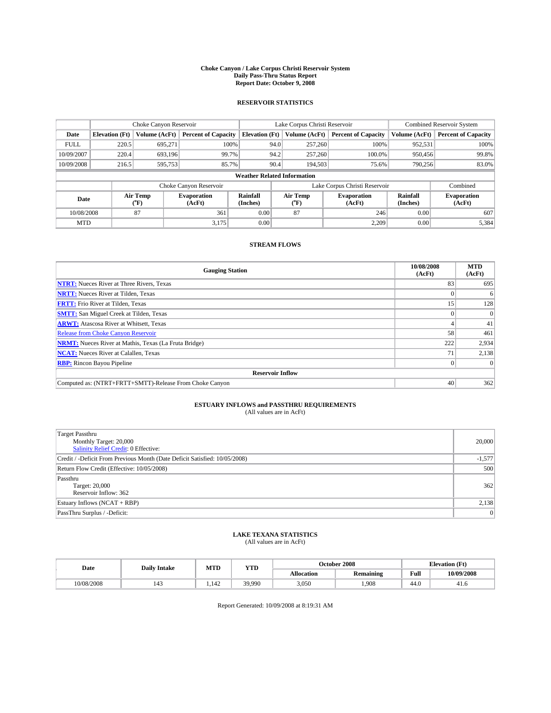#### **Choke Canyon / Lake Corpus Christi Reservoir System Daily Pass-Thru Status Report Report Date: October 9, 2008**

### **RESERVOIR STATISTICS**

|             | Choke Canyon Reservoir             |                  |                              |                       | Lake Corpus Christi Reservoir | <b>Combined Reservoir System</b> |                      |                              |  |  |
|-------------|------------------------------------|------------------|------------------------------|-----------------------|-------------------------------|----------------------------------|----------------------|------------------------------|--|--|
| Date        | <b>Elevation</b> (Ft)              | Volume (AcFt)    | <b>Percent of Capacity</b>   | <b>Elevation</b> (Ft) | Volume (AcFt)                 | <b>Percent of Capacity</b>       | Volume (AcFt)        | <b>Percent of Capacity</b>   |  |  |
| <b>FULL</b> | 220.5                              | 695,271          | 100%                         | 94.0                  | 257,260                       | 100%                             | 952,531              | 100%                         |  |  |
| 10/09/2007  | 220.4                              | 693.196          | 99.7%                        | 94.2                  | 257,260                       | 100.0%                           | 950,456              | 99.8%                        |  |  |
| 10/09/2008  | 216.5                              | 595,753          | 85.7%                        | 90.4                  | 194,503                       | 75.6%                            | 790.256              | 83.0%                        |  |  |
|             | <b>Weather Related Information</b> |                  |                              |                       |                               |                                  |                      |                              |  |  |
|             |                                    |                  | Choke Canyon Reservoir       |                       |                               | Lake Corpus Christi Reservoir    |                      | Combined                     |  |  |
| Date        |                                    | Air Temp<br>(°F) | <b>Evaporation</b><br>(AcFt) | Rainfall<br>(Inches)  | Air Temp<br>("F)              | <b>Evaporation</b><br>(AcFt)     | Rainfall<br>(Inches) | <b>Evaporation</b><br>(AcFt) |  |  |
| 10/08/2008  |                                    | 87               | 361                          | 0.00                  | 87                            | 246                              | 0.00                 | 607                          |  |  |
| <b>MTD</b>  |                                    |                  | 3.175                        | 0.00                  |                               | 2.209                            | 0.00                 | 5,384                        |  |  |

### **STREAM FLOWS**

| <b>Gauging Station</b>                                       | 10/08/2008<br>(AcFt) | <b>MTD</b><br>(AcFt) |
|--------------------------------------------------------------|----------------------|----------------------|
| <b>NTRT:</b> Nueces River at Three Rivers, Texas             | 83                   | 695                  |
| <b>NRTT:</b> Nueces River at Tilden, Texas                   |                      | 6                    |
| <b>FRTT:</b> Frio River at Tilden, Texas                     | 15                   | 128                  |
| <b>SMTT:</b> San Miguel Creek at Tilden, Texas               |                      |                      |
| <b>ARWT:</b> Atascosa River at Whitsett, Texas               |                      | 41                   |
| <b>Release from Choke Canyon Reservoir</b>                   | 58                   | 461                  |
| <b>NRMT:</b> Nueces River at Mathis, Texas (La Fruta Bridge) | 222                  | 2,934                |
| <b>NCAT:</b> Nueces River at Calallen, Texas                 | 71                   | 2,138                |
| <b>RBP:</b> Rincon Bayou Pipeline                            | $\Omega$             |                      |
| <b>Reservoir Inflow</b>                                      |                      |                      |
| Computed as: (NTRT+FRTT+SMTT)-Release From Choke Canyon      | 40                   | 362                  |

# **ESTUARY INFLOWS and PASSTHRU REQUIREMENTS**<br>(All values are in AcFt)

| <b>Target Passthru</b><br>Monthly Target: 20,000<br>Salinity Relief Credit: 0 Effective: | 20,000         |
|------------------------------------------------------------------------------------------|----------------|
| Credit / -Deficit From Previous Month (Date Deficit Satisfied: 10/05/2008)               | $-1,577$       |
| Return Flow Credit (Effective: 10/05/2008)                                               | 500            |
| Passthru<br>Target: 20,000<br>Reservoir Inflow: 362                                      | 362            |
| Estuary Inflows (NCAT + RBP)                                                             | 2,138          |
| PassThru Surplus / -Deficit:                                                             | $\overline{0}$ |

## **LAKE TEXANA STATISTICS** (All values are in AcFt)

| Date       | <b>Daily Intake</b> |      | <b>YTD</b><br>MTD |            | October 2008     | <b>Elevation</b> (Ft) |            |
|------------|---------------------|------|-------------------|------------|------------------|-----------------------|------------|
|            |                     |      |                   | Allocation | <b>Remaining</b> | Full                  | 10/09/2008 |
| 10/08/2008 | 143                 | .142 | 39.990            | 3,050      | .908             | 44.0                  | 41.6       |

Report Generated: 10/09/2008 at 8:19:31 AM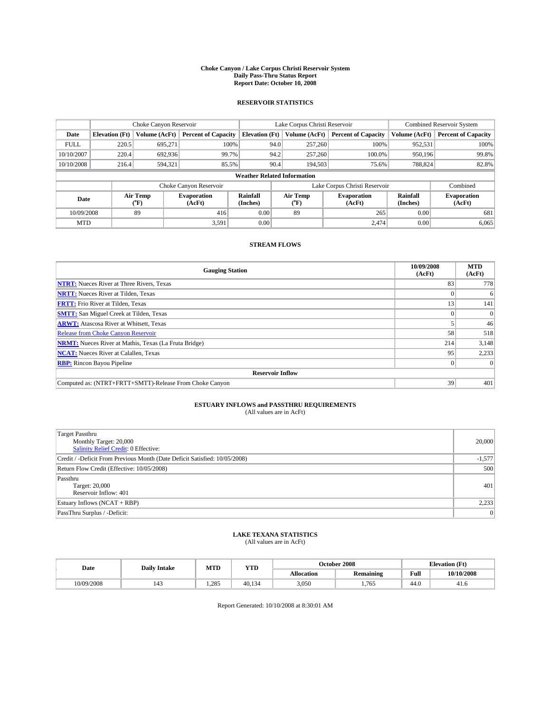#### **Choke Canyon / Lake Corpus Christi Reservoir System Daily Pass-Thru Status Report Report Date: October 10, 2008**

### **RESERVOIR STATISTICS**

|                        | Choke Canyon Reservoir |                  |                              |                                    |      | Lake Corpus Christi Reservoir |                              | <b>Combined Reservoir System</b> |                              |  |
|------------------------|------------------------|------------------|------------------------------|------------------------------------|------|-------------------------------|------------------------------|----------------------------------|------------------------------|--|
| Date                   | <b>Elevation</b> (Ft)  | Volume (AcFt)    | <b>Percent of Capacity</b>   | <b>Elevation</b> (Ft)              |      | Volume (AcFt)                 | <b>Percent of Capacity</b>   | Volume (AcFt)                    | <b>Percent of Capacity</b>   |  |
| <b>FULL</b>            | 220.5                  | 695,271          | 100%                         |                                    | 94.0 | 257,260                       | 100%                         | 952,531                          | 100%                         |  |
| 10/10/2007             | 220.4                  | 692.936          | 99.7%                        |                                    | 94.2 | 257,260                       | 100.0%                       | 950.196                          | 99.8%                        |  |
| 10/10/2008             | 216.4                  | 594,321          | 85.5%                        |                                    | 90.4 | 194.503                       | 75.6%                        | 788,824                          | 82.8%                        |  |
|                        |                        |                  |                              | <b>Weather Related Information</b> |      |                               |                              |                                  |                              |  |
| Choke Canyon Reservoir |                        |                  |                              |                                    |      | Lake Corpus Christi Reservoir |                              | Combined                         |                              |  |
| Date                   |                        | Air Temp<br>(°F) | <b>Evaporation</b><br>(AcFt) | Rainfall<br>(Inches)               |      | Air Temp<br>("F)              | <b>Evaporation</b><br>(AcFt) | Rainfall<br>(Inches)             | <b>Evaporation</b><br>(AcFt) |  |
| 10/09/2008             |                        | 89               | 416                          | 0.00                               |      | 89                            | 265                          | 0.00                             | 681                          |  |
| <b>MTD</b>             |                        |                  | 3,591                        | 0.00                               |      |                               | 2,474                        | 0.00                             | 6,065                        |  |

### **STREAM FLOWS**

| <b>Gauging Station</b>                                       | 10/09/2008<br>(AcFt) | <b>MTD</b><br>(AcFt) |
|--------------------------------------------------------------|----------------------|----------------------|
| <b>NTRT:</b> Nueces River at Three Rivers, Texas             | 83                   | 778                  |
| <b>NRTT:</b> Nueces River at Tilden, Texas                   |                      | 6                    |
| <b>FRTT:</b> Frio River at Tilden, Texas                     | 13                   | 141                  |
| <b>SMTT:</b> San Miguel Creek at Tilden, Texas               |                      |                      |
| <b>ARWT:</b> Atascosa River at Whitsett, Texas               |                      | 46                   |
| <b>Release from Choke Canyon Reservoir</b>                   | 58                   | 518                  |
| <b>NRMT:</b> Nueces River at Mathis, Texas (La Fruta Bridge) | 214                  | 3,148                |
| <b>NCAT:</b> Nueces River at Calallen, Texas                 | 95                   | 2,233                |
| <b>RBP:</b> Rincon Bayou Pipeline                            | $\vert 0 \vert$      |                      |
| <b>Reservoir Inflow</b>                                      |                      |                      |
| Computed as: (NTRT+FRTT+SMTT)-Release From Choke Canyon      | 39                   | 401                  |

# **ESTUARY INFLOWS and PASSTHRU REQUIREMENTS**<br>(All values are in AcFt)

| Target Passthru<br>Monthly Target: 20,000<br>Salinity Relief Credit: 0 Effective: | 20,000   |
|-----------------------------------------------------------------------------------|----------|
| Credit / -Deficit From Previous Month (Date Deficit Satisfied: 10/05/2008)        | $-1,577$ |
| Return Flow Credit (Effective: 10/05/2008)                                        | 500      |
| Passthru<br>Target: 20,000<br>Reservoir Inflow: 401                               | 401      |
| Estuary Inflows (NCAT + RBP)                                                      | 2,233    |
| PassThru Surplus / -Deficit:                                                      | 0        |

## **LAKE TEXANA STATISTICS** (All values are in AcFt)

| Date | <b>Daily Intake</b> | MTD | <b>YTD</b> |        | October 2008 | <b>Elevation</b> (Ft) |                                             |            |
|------|---------------------|-----|------------|--------|--------------|-----------------------|---------------------------------------------|------------|
|      |                     |     |            |        | Allocation   | <b>Remaining</b>      | Full<br>the contract of the contract of the | 10/10/2008 |
|      | 10/09/2008          | 143 | 1.285      | 40.134 | 3,050        | 1.765                 | 44.0                                        | 41.6       |

Report Generated: 10/10/2008 at 8:30:01 AM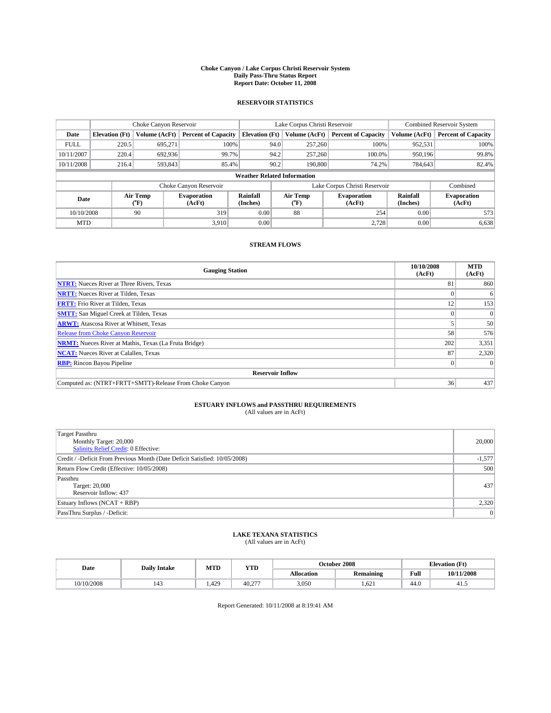#### **Choke Canyon / Lake Corpus Christi Reservoir System Daily Pass-Thru Status Report Report Date: October 11, 2008**

### **RESERVOIR STATISTICS**

|             | Choke Canyon Reservoir |                  |                              |                                    | Lake Corpus Christi Reservoir |                               | <b>Combined Reservoir System</b> |                              |
|-------------|------------------------|------------------|------------------------------|------------------------------------|-------------------------------|-------------------------------|----------------------------------|------------------------------|
| Date        | <b>Elevation</b> (Ft)  | Volume (AcFt)    | <b>Percent of Capacity</b>   | <b>Elevation</b> (Ft)              | Volume (AcFt)                 | <b>Percent of Capacity</b>    | Volume (AcFt)                    | <b>Percent of Capacity</b>   |
| <b>FULL</b> | 220.5                  | 695,271          | 100%                         | 94.0                               | 257,260                       | 100%                          | 952,531                          | 100%                         |
| 10/11/2007  | 220.4                  | 692,936          | 99.7%                        | 94.2                               | 257,260                       | 100.0%                        | 950.196                          | 99.8%                        |
| 10/11/2008  | 216.4                  | 593,843          | 85.4%                        | 90.2                               | 190,800                       | 74.2%                         | 784,643                          | 82.4%                        |
|             |                        |                  |                              | <b>Weather Related Information</b> |                               |                               |                                  |                              |
|             |                        |                  | Choke Canyon Reservoir       |                                    |                               | Lake Corpus Christi Reservoir |                                  | Combined                     |
| Date        |                        | Air Temp<br>(°F) | <b>Evaporation</b><br>(AcFt) | Rainfall<br>(Inches)               | Air Temp<br>("F)              | <b>Evaporation</b><br>(AcFt)  | Rainfall<br>(Inches)             | <b>Evaporation</b><br>(AcFt) |
| 10/10/2008  |                        | 90               | 319                          | 0.00                               | 88                            | 254                           | 0.00                             | 573                          |
| <b>MTD</b>  |                        |                  | 3.910                        | 0.00                               |                               | 2.728                         | 0.00                             | 6,638                        |

### **STREAM FLOWS**

| <b>Gauging Station</b>                                       | 10/10/2008<br>(AcFt) | <b>MTD</b><br>(AcFt) |
|--------------------------------------------------------------|----------------------|----------------------|
| <b>NTRT:</b> Nueces River at Three Rivers, Texas             | 81                   | 860                  |
| <b>NRTT:</b> Nueces River at Tilden, Texas                   |                      | 6                    |
| <b>FRTT:</b> Frio River at Tilden, Texas                     | 12                   | 153                  |
| <b>SMTT:</b> San Miguel Creek at Tilden, Texas               |                      |                      |
| <b>ARWT:</b> Atascosa River at Whitsett, Texas               |                      | 50                   |
| <b>Release from Choke Canyon Reservoir</b>                   | 58                   | 576                  |
| <b>NRMT:</b> Nueces River at Mathis, Texas (La Fruta Bridge) | 202                  | 3,351                |
| <b>NCAT:</b> Nueces River at Calallen, Texas                 | 87                   | 2,320                |
| <b>RBP:</b> Rincon Bayou Pipeline                            | $\vert 0 \vert$      |                      |
| <b>Reservoir Inflow</b>                                      |                      |                      |
| Computed as: (NTRT+FRTT+SMTT)-Release From Choke Canyon      | 36                   | 437                  |

# **ESTUARY INFLOWS and PASSTHRU REQUIREMENTS**<br>(All values are in AcFt)

| <b>Target Passthru</b><br>Monthly Target: 20,000<br>Salinity Relief Credit: 0 Effective: | 20,000         |
|------------------------------------------------------------------------------------------|----------------|
| Credit / -Deficit From Previous Month (Date Deficit Satisfied: 10/05/2008)               | $-1,577$       |
| Return Flow Credit (Effective: 10/05/2008)                                               | 500            |
| Passthru<br>Target: 20,000<br>Reservoir Inflow: 437                                      | 437            |
| Estuary Inflows (NCAT + RBP)                                                             | 2,320          |
| PassThru Surplus / -Deficit:                                                             | $\overline{0}$ |

# **LAKE TEXANA STATISTICS** (All values are in AcFt)

| Date       | <b>Daily Intake</b> | MTD  | YTD            |            | October 2008     | <b>Elevation</b> (Ft) |            |
|------------|---------------------|------|----------------|------------|------------------|-----------------------|------------|
|            |                     |      |                | Allocation | <b>Remaining</b> | Full                  | 10/11/2008 |
| 10/10/2008 | 143                 | .429 | 40.2<br>$\sim$ | 3,050      | .621             | 44.0                  | 41.5       |

Report Generated: 10/11/2008 at 8:19:41 AM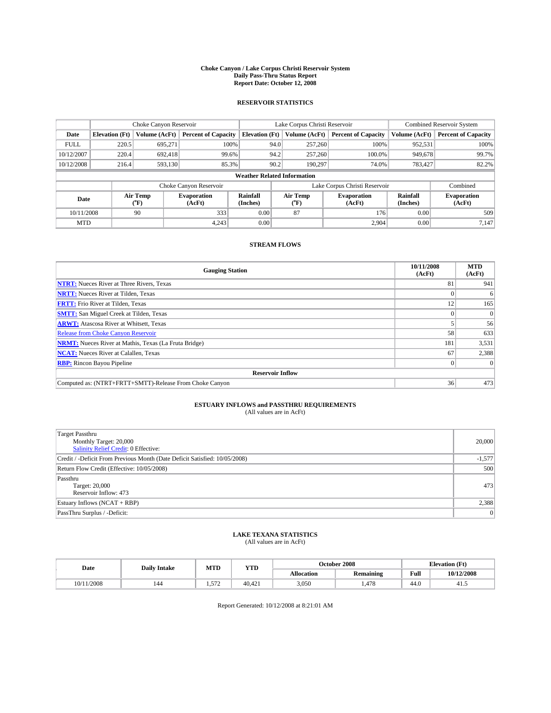#### **Choke Canyon / Lake Corpus Christi Reservoir System Daily Pass-Thru Status Report Report Date: October 12, 2008**

### **RESERVOIR STATISTICS**

|             |                                    | Choke Canyon Reservoir |                              |                       | Lake Corpus Christi Reservoir |                               | <b>Combined Reservoir System</b> |                              |  |
|-------------|------------------------------------|------------------------|------------------------------|-----------------------|-------------------------------|-------------------------------|----------------------------------|------------------------------|--|
| Date        | <b>Elevation</b> (Ft)              | Volume (AcFt)          | <b>Percent of Capacity</b>   | <b>Elevation</b> (Ft) | Volume (AcFt)                 | <b>Percent of Capacity</b>    | Volume (AcFt)                    | <b>Percent of Capacity</b>   |  |
| <b>FULL</b> | 220.5                              | 695,271                | 100%                         |                       | 257,260<br>94.0               | 100%                          | 952,531                          | 100%                         |  |
| 10/12/2007  | 220.4<br>692.418<br>99.6%          |                        |                              | 94.2<br>257,260       | 100.0%                        | 949,678                       | 99.7%                            |                              |  |
| 10/12/2008  | 216.4                              | 593,130                | 85.3%                        |                       | 90.2<br>190.297               | 74.0%                         | 783,427                          | 82.2%                        |  |
|             | <b>Weather Related Information</b> |                        |                              |                       |                               |                               |                                  |                              |  |
|             |                                    |                        | Choke Canyon Reservoir       |                       |                               | Lake Corpus Christi Reservoir |                                  | Combined                     |  |
| Date        |                                    | Air Temp<br>(°F)       | <b>Evaporation</b><br>(AcFt) | Rainfall<br>(Inches)  | Air Temp<br>("F)              | <b>Evaporation</b><br>(AcFt)  | Rainfall<br>(Inches)             | <b>Evaporation</b><br>(AcFt) |  |
| 10/11/2008  |                                    | 90                     | 333                          | 0.00                  | 87                            | 176                           | 0.00                             | 509                          |  |
| <b>MTD</b>  |                                    |                        | 4.243                        | 0.00                  |                               | 2.904                         | 0.00                             | 7.147                        |  |

### **STREAM FLOWS**

| <b>Gauging Station</b>                                       | 10/11/2008<br>(AcFt) | <b>MTD</b><br>(AcFt) |
|--------------------------------------------------------------|----------------------|----------------------|
| <b>NTRT:</b> Nueces River at Three Rivers, Texas             | 81                   | 941                  |
| <b>NRTT:</b> Nueces River at Tilden, Texas                   |                      | 6                    |
| <b>FRTT:</b> Frio River at Tilden, Texas                     | 12                   | 165                  |
| <b>SMTT:</b> San Miguel Creek at Tilden, Texas               |                      |                      |
| <b>ARWT:</b> Atascosa River at Whitsett, Texas               |                      | 56                   |
| <b>Release from Choke Canyon Reservoir</b>                   | 58                   | 633                  |
| <b>NRMT:</b> Nueces River at Mathis, Texas (La Fruta Bridge) | 181                  | 3,531                |
| <b>NCAT:</b> Nueces River at Calallen, Texas                 | 67                   | 2,388                |
| <b>RBP:</b> Rincon Bayou Pipeline                            | $\Omega$             |                      |
| <b>Reservoir Inflow</b>                                      |                      |                      |
| Computed as: (NTRT+FRTT+SMTT)-Release From Choke Canyon      | 36                   | 473                  |

# **ESTUARY INFLOWS and PASSTHRU REQUIREMENTS**<br>(All values are in AcFt)

| <b>Target Passthru</b><br>Monthly Target: 20,000<br>Salinity Relief Credit: 0 Effective: | 20,000   |
|------------------------------------------------------------------------------------------|----------|
| Credit / -Deficit From Previous Month (Date Deficit Satisfied: 10/05/2008)               | $-1,577$ |
| Return Flow Credit (Effective: 10/05/2008)                                               | 500      |
| Passthru<br>Target: 20,000<br>Reservoir Inflow: 473                                      | 473      |
| Estuary Inflows (NCAT + RBP)                                                             | 2,388    |
| PassThru Surplus / -Deficit:                                                             | 0        |

## **LAKE TEXANA STATISTICS** (All values are in AcFt)

| Date          | <b>Daily Intake</b> | MTD          | <b>YTD</b> |            | October 2008 | $(T+$<br><b>Elevation</b> (<br>LE L |            |
|---------------|---------------------|--------------|------------|------------|--------------|-------------------------------------|------------|
|               |                     |              |            | Allocation | Remaining    | Full                                | 10/12/2008 |
| /2008<br>0/11 | 144                 | 572<br>← است | 40,42.     | 3,050      | . 478        | 44.0                                | 41.5       |

Report Generated: 10/12/2008 at 8:21:01 AM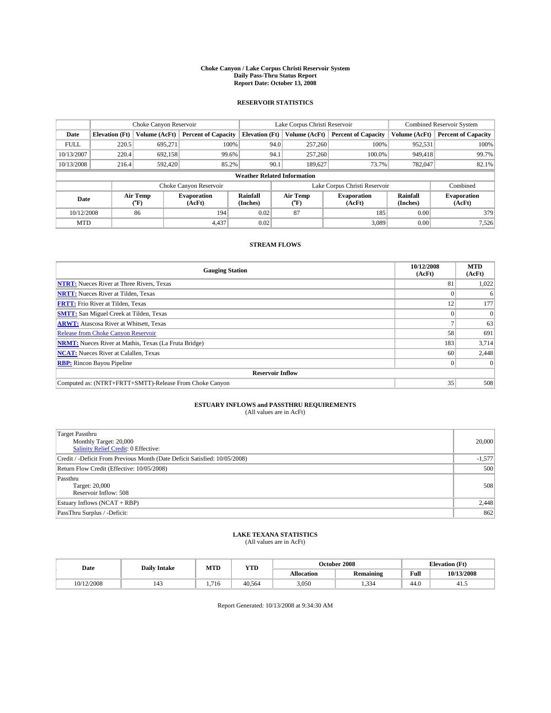#### **Choke Canyon / Lake Corpus Christi Reservoir System Daily Pass-Thru Status Report Report Date: October 13, 2008**

### **RESERVOIR STATISTICS**

|             | Choke Canyon Reservoir             |                             | Lake Corpus Christi Reservoir |                       |                               |                  | <b>Combined Reservoir System</b> |                      |                              |  |
|-------------|------------------------------------|-----------------------------|-------------------------------|-----------------------|-------------------------------|------------------|----------------------------------|----------------------|------------------------------|--|
| Date        | <b>Elevation</b> (Ft)              | Volume (AcFt)               | <b>Percent of Capacity</b>    | <b>Elevation</b> (Ft) |                               | Volume (AcFt)    | <b>Percent of Capacity</b>       | Volume (AcFt)        | <b>Percent of Capacity</b>   |  |
| <b>FULL</b> | 220.5                              | 695,271                     | 100%                          |                       | 94.0                          | 257,260          | 100%                             | 952,531              | 100%                         |  |
| 10/13/2007  | 220.4                              | 692,158                     | 99.6%                         |                       | 94.1                          | 257,260          | 100.0%                           | 949,418              | 99.7%                        |  |
| 10/13/2008  | 216.4                              | 592,420                     | 85.2%                         |                       | 90.1                          | 189.627          | 73.7%                            | 782,047              | 82.1%                        |  |
|             | <b>Weather Related Information</b> |                             |                               |                       |                               |                  |                                  |                      |                              |  |
|             |                                    |                             | Choke Canyon Reservoir        |                       | Lake Corpus Christi Reservoir |                  |                                  |                      | Combined                     |  |
| Date        |                                    | Air Temp<br>${}^{\circ}$ F) | <b>Evaporation</b><br>(AcFt)  | Rainfall<br>(Inches)  |                               | Air Temp<br>("F) | <b>Evaporation</b><br>(AcFt)     | Rainfall<br>(Inches) | <b>Evaporation</b><br>(AcFt) |  |
| 10/12/2008  |                                    | 86                          | 194                           | 0.02                  |                               | 87               | 185                              | 0.00                 | 379                          |  |
| <b>MTD</b>  |                                    |                             | 4,437                         | 0.02                  |                               |                  | 3,089                            | 0.00                 | 7,526                        |  |

### **STREAM FLOWS**

| <b>Gauging Station</b>                                       | 10/12/2008<br>(AcFt) | <b>MTD</b><br>(AcFt) |  |  |  |  |  |
|--------------------------------------------------------------|----------------------|----------------------|--|--|--|--|--|
| <b>NTRT:</b> Nueces River at Three Rivers, Texas             | 81                   | 1,022                |  |  |  |  |  |
| <b>NRTT:</b> Nueces River at Tilden, Texas                   |                      | 6                    |  |  |  |  |  |
| <b>FRTT:</b> Frio River at Tilden, Texas                     | 12                   | 177                  |  |  |  |  |  |
| <b>SMTT:</b> San Miguel Creek at Tilden, Texas               |                      |                      |  |  |  |  |  |
| <b>ARWT:</b> Atascosa River at Whitsett, Texas               |                      | 63                   |  |  |  |  |  |
| <b>Release from Choke Canyon Reservoir</b>                   | 58                   | 691                  |  |  |  |  |  |
| <b>NRMT:</b> Nueces River at Mathis, Texas (La Fruta Bridge) | 183                  | 3,714                |  |  |  |  |  |
| <b>NCAT:</b> Nueces River at Calallen, Texas                 | 60                   | 2,448                |  |  |  |  |  |
| <b>RBP:</b> Rincon Bayou Pipeline                            | $\vert 0 \vert$      |                      |  |  |  |  |  |
| <b>Reservoir Inflow</b>                                      |                      |                      |  |  |  |  |  |
| Computed as: (NTRT+FRTT+SMTT)-Release From Choke Canyon      | 35                   | 508                  |  |  |  |  |  |

# **ESTUARY INFLOWS and PASSTHRU REQUIREMENTS**<br>(All values are in AcFt)

| Target Passthru<br>Monthly Target: 20,000<br>Salinity Relief Credit: 0 Effective: | 20,000   |
|-----------------------------------------------------------------------------------|----------|
| Credit / -Deficit From Previous Month (Date Deficit Satisfied: 10/05/2008)        | $-1,577$ |
| Return Flow Credit (Effective: 10/05/2008)                                        | 500      |
| Passthru<br>Target: 20,000<br>Reservoir Inflow: 508                               | 508      |
| Estuary Inflows (NCAT + RBP)                                                      | 2,448    |
| PassThru Surplus / -Deficit:                                                      | 862      |

# **LAKE TEXANA STATISTICS** (All values are in AcFt)

| Date       | <b>Daily Intake</b>   | MTD                    | YTD    |            | October 2008     | <b>Elevation</b> (Ft) |            |
|------------|-----------------------|------------------------|--------|------------|------------------|-----------------------|------------|
|            |                       |                        |        | Allocation | <b>Remaining</b> | Full                  | 10/13/2008 |
| 10/12/2008 | $\overline{1}$<br>140 | 71 <sub>6</sub><br>716 | 40.564 | 3,050      | 22<br>1.JJ       | 44.0                  | 41.3       |

Report Generated: 10/13/2008 at 9:34:30 AM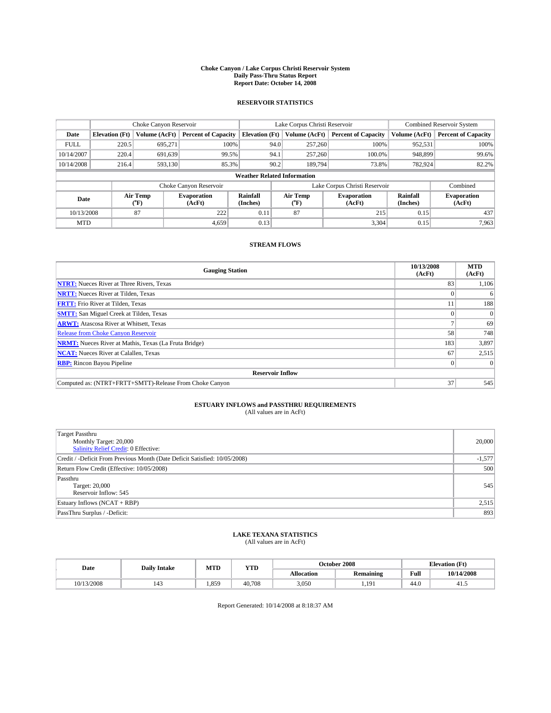#### **Choke Canyon / Lake Corpus Christi Reservoir System Daily Pass-Thru Status Report Report Date: October 14, 2008**

### **RESERVOIR STATISTICS**

|             | Choke Canyon Reservoir             |                  | Lake Corpus Christi Reservoir |                       |                               |                  | <b>Combined Reservoir System</b> |                      |                              |  |
|-------------|------------------------------------|------------------|-------------------------------|-----------------------|-------------------------------|------------------|----------------------------------|----------------------|------------------------------|--|
| Date        | <b>Elevation</b> (Ft)              | Volume (AcFt)    | <b>Percent of Capacity</b>    | <b>Elevation</b> (Ft) |                               | Volume (AcFt)    | <b>Percent of Capacity</b>       | Volume (AcFt)        | <b>Percent of Capacity</b>   |  |
| <b>FULL</b> | 220.5                              | 695,271          | 100%                          |                       | 94.0                          | 257,260          | 100%                             | 952,531              | 100%                         |  |
| 10/14/2007  | 220.4                              | 691,639          | 99.5%                         |                       | 94.1                          | 257,260          | 100.0%                           | 948,899              | 99.6%                        |  |
| 10/14/2008  | 216.4                              | 593,130          | 85.3%                         |                       | 90.2                          | 189,794          | 73.8%                            | 782,924              | 82.2%                        |  |
|             | <b>Weather Related Information</b> |                  |                               |                       |                               |                  |                                  |                      |                              |  |
|             |                                    |                  | Choke Canyon Reservoir        |                       | Lake Corpus Christi Reservoir |                  |                                  |                      | Combined                     |  |
| Date        |                                    | Air Temp<br>(°F) | <b>Evaporation</b><br>(AcFt)  | Rainfall<br>(Inches)  |                               | Air Temp<br>("F) | <b>Evaporation</b><br>(AcFt)     | Rainfall<br>(Inches) | <b>Evaporation</b><br>(AcFt) |  |
| 10/13/2008  |                                    | 87               | 222                           | 0.11                  |                               | 87               | 215                              | 0.15                 | 437                          |  |
| <b>MTD</b>  |                                    |                  | 4.659                         | 0.13                  |                               |                  | 3,304                            | 0.15                 | 7,963                        |  |

### **STREAM FLOWS**

| <b>Gauging Station</b>                                       | 10/13/2008<br>(AcFt) | <b>MTD</b><br>(AcFt) |  |  |  |  |  |
|--------------------------------------------------------------|----------------------|----------------------|--|--|--|--|--|
| <b>NTRT:</b> Nueces River at Three Rivers, Texas             | 83                   | 1,106                |  |  |  |  |  |
| <b>NRTT:</b> Nueces River at Tilden, Texas                   |                      | 6                    |  |  |  |  |  |
| <b>FRTT:</b> Frio River at Tilden, Texas                     | 11                   | 188                  |  |  |  |  |  |
| <b>SMTT:</b> San Miguel Creek at Tilden, Texas               |                      |                      |  |  |  |  |  |
| <b>ARWT:</b> Atascosa River at Whitsett, Texas               |                      | 69                   |  |  |  |  |  |
| <b>Release from Choke Canyon Reservoir</b>                   | 58                   | 748                  |  |  |  |  |  |
| <b>NRMT:</b> Nueces River at Mathis, Texas (La Fruta Bridge) | 183                  | 3,897                |  |  |  |  |  |
| <b>NCAT:</b> Nueces River at Calallen, Texas                 | 67                   | 2,515                |  |  |  |  |  |
| <b>RBP:</b> Rincon Bayou Pipeline                            | $\theta$             |                      |  |  |  |  |  |
| <b>Reservoir Inflow</b>                                      |                      |                      |  |  |  |  |  |
| Computed as: (NTRT+FRTT+SMTT)-Release From Choke Canyon      | 37                   | 545                  |  |  |  |  |  |

# **ESTUARY INFLOWS and PASSTHRU REQUIREMENTS**

| (All values are in AcFt) |  |
|--------------------------|--|
|--------------------------|--|

| <b>Target Passthru</b><br>Monthly Target: 20,000<br>Salinity Relief Credit: 0 Effective: | 20,000   |
|------------------------------------------------------------------------------------------|----------|
| Credit / -Deficit From Previous Month (Date Deficit Satisfied: 10/05/2008)               | $-1,577$ |
| Return Flow Credit (Effective: 10/05/2008)                                               | 500      |
| Passthru<br>Target: 20,000<br>Reservoir Inflow: 545                                      | 545      |
| Estuary Inflows (NCAT + RBP)                                                             | 2,515    |
| PassThru Surplus / -Deficit:                                                             | 893      |

## **LAKE TEXANA STATISTICS** (All values are in AcFt)

| Date |            | <b>Daily Intake</b> | MTI  | <b>YTD</b> |                   | October 2008     | <b>Elevation</b> (Ft) |            |
|------|------------|---------------------|------|------------|-------------------|------------------|-----------------------|------------|
|      |            |                     |      |            | <b>Allocation</b> | <b>Remaining</b> | Full                  | 10/14/2008 |
|      | 10/13/2008 | 142                 | .859 | 40.708     | 3,050             | 19<br>           | 44.0                  | 41         |

Report Generated: 10/14/2008 at 8:18:37 AM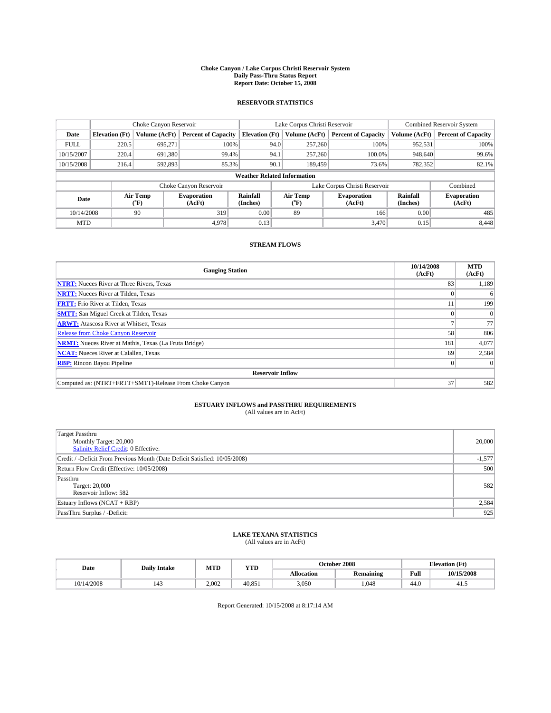#### **Choke Canyon / Lake Corpus Christi Reservoir System Daily Pass-Thru Status Report Report Date: October 15, 2008**

### **RESERVOIR STATISTICS**

|             | Choke Canyon Reservoir             |                          | Lake Corpus Christi Reservoir |                       |                               |                            | <b>Combined Reservoir System</b> |                      |                              |  |
|-------------|------------------------------------|--------------------------|-------------------------------|-----------------------|-------------------------------|----------------------------|----------------------------------|----------------------|------------------------------|--|
| Date        | <b>Elevation</b> (Ft)              | Volume (AcFt)            | <b>Percent of Capacity</b>    | <b>Elevation</b> (Ft) |                               | Volume (AcFt)              | <b>Percent of Capacity</b>       | Volume (AcFt)        | <b>Percent of Capacity</b>   |  |
| <b>FULL</b> | 220.5                              | 695,271                  | 100%                          |                       | 94.0                          | 257,260                    | 100%                             | 952,531              | 100%                         |  |
| 10/15/2007  | 220.4                              | 691,380                  | 99.4%                         |                       | 94.1                          | 257,260                    | 100.0%                           | 948,640              | 99.6%                        |  |
| 10/15/2008  | 216.4                              | 592,893                  | 85.3%                         |                       | 90.1                          | 189,459                    | 73.6%                            | 782,352              | 82.1%                        |  |
|             | <b>Weather Related Information</b> |                          |                               |                       |                               |                            |                                  |                      |                              |  |
|             |                                    |                          | Choke Canyon Reservoir        |                       | Lake Corpus Christi Reservoir |                            |                                  |                      | Combined                     |  |
| Date        |                                    | Air Temp<br>$\rm ^{o}F)$ | <b>Evaporation</b><br>(AcFt)  | Rainfall<br>(Inches)  |                               | Air Temp<br>$\rm ^{op}$ F) | <b>Evaporation</b><br>(AcFt)     | Rainfall<br>(Inches) | <b>Evaporation</b><br>(AcFt) |  |
| 10/14/2008  |                                    | 90                       | 319                           | 0.00                  |                               | 89                         | 166                              | 0.00                 | 485                          |  |
| <b>MTD</b>  |                                    |                          | 4.978                         | 0.13                  |                               |                            | 3,470                            | 0.15                 | 8,448                        |  |

### **STREAM FLOWS**

| <b>Gauging Station</b>                                       | 10/14/2008<br>(AcFt) | <b>MTD</b><br>(AcFt) |  |  |  |  |  |
|--------------------------------------------------------------|----------------------|----------------------|--|--|--|--|--|
| <b>NTRT:</b> Nueces River at Three Rivers, Texas             | 83                   | 1,189                |  |  |  |  |  |
| <b>NRTT:</b> Nueces River at Tilden, Texas                   |                      | 6                    |  |  |  |  |  |
| <b>FRTT:</b> Frio River at Tilden, Texas                     | 11                   | 199                  |  |  |  |  |  |
| <b>SMTT:</b> San Miguel Creek at Tilden, Texas               |                      |                      |  |  |  |  |  |
| <b>ARWT:</b> Atascosa River at Whitsett, Texas               |                      | 77                   |  |  |  |  |  |
| <b>Release from Choke Canyon Reservoir</b>                   | 58                   | 806                  |  |  |  |  |  |
| <b>NRMT:</b> Nueces River at Mathis, Texas (La Fruta Bridge) | 181                  | 4,077                |  |  |  |  |  |
| <b>NCAT:</b> Nueces River at Calallen, Texas                 | 69                   | 2,584                |  |  |  |  |  |
| <b>RBP:</b> Rincon Bayou Pipeline                            | $\vert 0 \vert$      |                      |  |  |  |  |  |
| <b>Reservoir Inflow</b>                                      |                      |                      |  |  |  |  |  |
| Computed as: (NTRT+FRTT+SMTT)-Release From Choke Canyon      | 37                   | 582                  |  |  |  |  |  |

# **ESTUARY INFLOWS and PASSTHRU REQUIREMENTS**<br>(All values are in AcFt)

| <b>Target Passthru</b><br>Monthly Target: 20,000<br>Salinity Relief Credit: 0 Effective: | 20,000   |
|------------------------------------------------------------------------------------------|----------|
| Credit / -Deficit From Previous Month (Date Deficit Satisfied: 10/05/2008)               | $-1,577$ |
| Return Flow Credit (Effective: 10/05/2008)                                               | 500      |
| Passthru<br>Target: 20,000<br>Reservoir Inflow: 582                                      | 582      |
| Estuary Inflows (NCAT + RBP)                                                             | 2,584    |
| PassThru Surplus / -Deficit:                                                             | 925      |

## **LAKE TEXANA STATISTICS** (All values are in AcFt)

| Date       | <b>Daily Intake</b> | MTD   | YTD    |            | October 2008     | <b>Elevation</b> (Ft) |            |
|------------|---------------------|-------|--------|------------|------------------|-----------------------|------------|
|            |                     |       |        | Allocation | <b>Remaining</b> | Full                  | 10/15/2008 |
| 10/14/2008 |                     | 2.002 | 40.851 | 3,050      | .048             | 44.0                  | 41.5       |

Report Generated: 10/15/2008 at 8:17:14 AM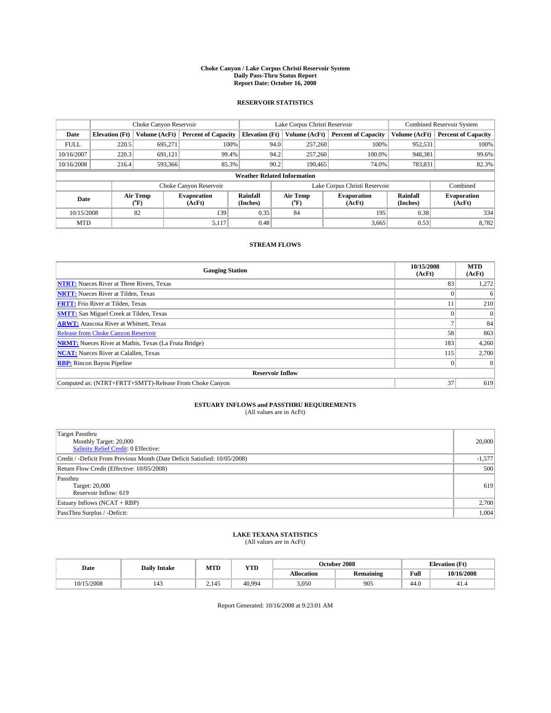#### **Choke Canyon / Lake Corpus Christi Reservoir System Daily Pass-Thru Status Report Report Date: October 16, 2008**

### **RESERVOIR STATISTICS**

|             | Choke Canyon Reservoir             |                  |                              |                       | Lake Corpus Christi Reservoir |                  |                              |                      | <b>Combined Reservoir System</b> |  |
|-------------|------------------------------------|------------------|------------------------------|-----------------------|-------------------------------|------------------|------------------------------|----------------------|----------------------------------|--|
| Date        | <b>Elevation</b> (Ft)              | Volume (AcFt)    | <b>Percent of Capacity</b>   | <b>Elevation</b> (Ft) |                               | Volume (AcFt)    | <b>Percent of Capacity</b>   | Volume (AcFt)        | <b>Percent of Capacity</b>       |  |
| <b>FULL</b> | 220.5                              | 695,271          | 100%                         |                       | 94.0                          | 257,260          | 100%                         | 952,531              | 100%                             |  |
| 10/16/2007  | 220.3                              | 691.121          | 99.4%                        |                       | 94.2                          | 257,260          | 100.0%                       | 948,381              | 99.6%                            |  |
| 10/16/2008  | 216.4                              | 593.366          | 85.3%                        |                       | 90.2                          | 190,465          | 74.0%                        | 783,831              | 82.3%                            |  |
|             | <b>Weather Related Information</b> |                  |                              |                       |                               |                  |                              |                      |                                  |  |
|             |                                    |                  | Choke Canyon Reservoir       |                       | Lake Corpus Christi Reservoir |                  |                              |                      | Combined                         |  |
| Date        |                                    | Air Temp<br>(°F) | <b>Evaporation</b><br>(AcFt) | Rainfall<br>(Inches)  |                               | Air Temp<br>("F) | <b>Evaporation</b><br>(AcFt) | Rainfall<br>(Inches) | <b>Evaporation</b><br>(AcFt)     |  |
| 10/15/2008  |                                    | 82               | 139                          | 0.35                  |                               | 84               | 195                          | 0.38                 | 334                              |  |
| <b>MTD</b>  |                                    |                  | 5,117                        | 0.48                  |                               |                  | 3,665                        | 0.53                 | 8,782                            |  |

### **STREAM FLOWS**

| <b>Gauging Station</b>                                       | 10/15/2008<br>(AcFt) | <b>MTD</b><br>(AcFt) |
|--------------------------------------------------------------|----------------------|----------------------|
| <b>NTRT:</b> Nueces River at Three Rivers, Texas             | 83                   | 1,272                |
| <b>NRTT:</b> Nueces River at Tilden, Texas                   |                      | 6                    |
| <b>FRTT:</b> Frio River at Tilden, Texas                     | 11                   | 210                  |
| <b>SMTT:</b> San Miguel Creek at Tilden, Texas               |                      |                      |
| <b>ARWT:</b> Atascosa River at Whitsett, Texas               |                      | 84                   |
| <b>Release from Choke Canyon Reservoir</b>                   | 58                   | 863                  |
| <b>NRMT:</b> Nueces River at Mathis, Texas (La Fruta Bridge) | 183                  | 4,260                |
| <b>NCAT:</b> Nueces River at Calallen, Texas                 | 115                  | 2,700                |
| <b>RBP:</b> Rincon Bayou Pipeline                            | $\overline{0}$       |                      |
| <b>Reservoir Inflow</b>                                      |                      |                      |
| Computed as: (NTRT+FRTT+SMTT)-Release From Choke Canyon      | 37                   | 619                  |

# **ESTUARY INFLOWS and PASSTHRU REQUIREMENTS**<br>(All values are in AcFt)

| <b>Target Passthru</b><br>Monthly Target: 20,000<br>Salinity Relief Credit: 0 Effective: | 20,000   |
|------------------------------------------------------------------------------------------|----------|
| Credit / -Deficit From Previous Month (Date Deficit Satisfied: 10/05/2008)               | $-1,577$ |
| Return Flow Credit (Effective: 10/05/2008)                                               | 500      |
| Passthru<br>Target: 20,000<br>Reservoir Inflow: 619                                      | 619      |
| Estuary Inflows (NCAT + RBP)                                                             | 2,700    |
| PassThru Surplus / -Deficit:                                                             | 1,004    |

## **LAKE TEXANA STATISTICS** (All values are in AcFt)

| Date       | <b>Daily Intake</b> | MTD   | YTD    |            | October 2008     | <b>Elevation (Ft)</b> |            |
|------------|---------------------|-------|--------|------------|------------------|-----------------------|------------|
|            |                     |       |        | Allocation | <b>Remaining</b> | Full                  | 10/16/2008 |
| 10/15/2008 | $\sim$              | 2.145 | 40.994 | 3,050      | 905              | 44.0                  | 41.4       |

Report Generated: 10/16/2008 at 9:23:01 AM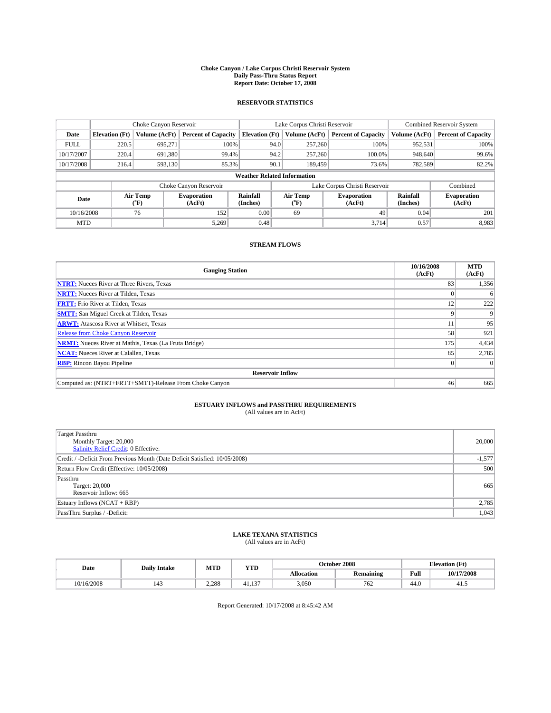#### **Choke Canyon / Lake Corpus Christi Reservoir System Daily Pass-Thru Status Report Report Date: October 17, 2008**

### **RESERVOIR STATISTICS**

|             | Choke Canyon Reservoir |                  | Lake Corpus Christi Reservoir |                                    |                               |                  | <b>Combined Reservoir System</b> |                      |                              |
|-------------|------------------------|------------------|-------------------------------|------------------------------------|-------------------------------|------------------|----------------------------------|----------------------|------------------------------|
| Date        | <b>Elevation</b> (Ft)  | Volume (AcFt)    | <b>Percent of Capacity</b>    | <b>Elevation</b> (Ft)              |                               | Volume (AcFt)    | <b>Percent of Capacity</b>       | Volume (AcFt)        | <b>Percent of Capacity</b>   |
| <b>FULL</b> | 220.5                  | 695,271          | 100%                          |                                    | 94.0                          | 257,260          | 100%                             | 952,531              | 100%                         |
| 10/17/2007  | 220.4                  | 691,380          | 99.4%                         |                                    | 94.2                          | 257,260          | 100.0%                           | 948,640              | 99.6%                        |
| 10/17/2008  | 216.4                  | 593.130          | 85.3%                         |                                    | 90.1                          | 189,459          | 73.6%                            | 782,589              | 82.2%                        |
|             |                        |                  |                               | <b>Weather Related Information</b> |                               |                  |                                  |                      |                              |
|             |                        |                  | Choke Canyon Reservoir        |                                    | Lake Corpus Christi Reservoir |                  |                                  |                      | Combined                     |
| Date        |                        | Air Temp<br>(°F) | <b>Evaporation</b><br>(AcFt)  | Rainfall<br>(Inches)               |                               | Air Temp<br>("F) | <b>Evaporation</b><br>(AcFt)     | Rainfall<br>(Inches) | <b>Evaporation</b><br>(AcFt) |
| 10/16/2008  |                        | 76               | 152                           | 0.00                               |                               | 69               | 49                               | 0.04                 | 201                          |
| <b>MTD</b>  |                        |                  | 5.269                         | 0.48                               |                               |                  | 3.714                            | 0.57                 | 8,983                        |

### **STREAM FLOWS**

| <b>Gauging Station</b>                                       | 10/16/2008<br>(AcFt) | <b>MTD</b><br>(AcFt) |  |  |  |  |  |
|--------------------------------------------------------------|----------------------|----------------------|--|--|--|--|--|
| <b>NTRT:</b> Nueces River at Three Rivers, Texas             | 83                   | 1,356                |  |  |  |  |  |
| <b>NRTT:</b> Nueces River at Tilden, Texas                   |                      | 6                    |  |  |  |  |  |
| <b>FRTT:</b> Frio River at Tilden, Texas                     | 12                   | 222                  |  |  |  |  |  |
| <b>SMTT:</b> San Miguel Creek at Tilden, Texas               | 9                    | $\mathbf Q$          |  |  |  |  |  |
| <b>ARWT:</b> Atascosa River at Whitsett, Texas               | 11                   | 95                   |  |  |  |  |  |
| <b>Release from Choke Canyon Reservoir</b>                   | 58                   | 921                  |  |  |  |  |  |
| <b>NRMT:</b> Nueces River at Mathis, Texas (La Fruta Bridge) | 175                  | 4,434                |  |  |  |  |  |
| <b>NCAT:</b> Nueces River at Calallen, Texas                 | 85                   | 2,785                |  |  |  |  |  |
| <b>RBP:</b> Rincon Bayou Pipeline                            | $\Omega$             |                      |  |  |  |  |  |
| <b>Reservoir Inflow</b>                                      |                      |                      |  |  |  |  |  |
| Computed as: (NTRT+FRTT+SMTT)-Release From Choke Canyon      | 46                   | 665                  |  |  |  |  |  |

# **ESTUARY INFLOWS and PASSTHRU REQUIREMENTS**<br>(All values are in AcFt)

| <b>Target Passthru</b><br>Monthly Target: 20,000<br>Salinity Relief Credit: 0 Effective: | 20,000   |
|------------------------------------------------------------------------------------------|----------|
| Credit / -Deficit From Previous Month (Date Deficit Satisfied: 10/05/2008)               | $-1,577$ |
| Return Flow Credit (Effective: 10/05/2008)                                               | 500      |
| Passthru<br>Target: 20,000<br>Reservoir Inflow: 665                                      | 665      |
| Estuary Inflows (NCAT + RBP)                                                             | 2,785    |
| PassThru Surplus / -Deficit:                                                             | 1,043    |

# **LAKE TEXANA STATISTICS** (All values are in AcFt)

| Date       | <b>Daily Intake</b> | MTD   | YTD          |            | October 2008     | <b>Elevation</b> (Ft) |            |
|------------|---------------------|-------|--------------|------------|------------------|-----------------------|------------|
|            |                     |       |              | Allocation | <b>Remaining</b> | Full                  | 10/17/2008 |
| 10/16/2008 | $\overline{1}$      | 2.288 | 137<br>41.15 | 3,050      | 762              | 44.0                  | 41.        |

Report Generated: 10/17/2008 at 8:45:42 AM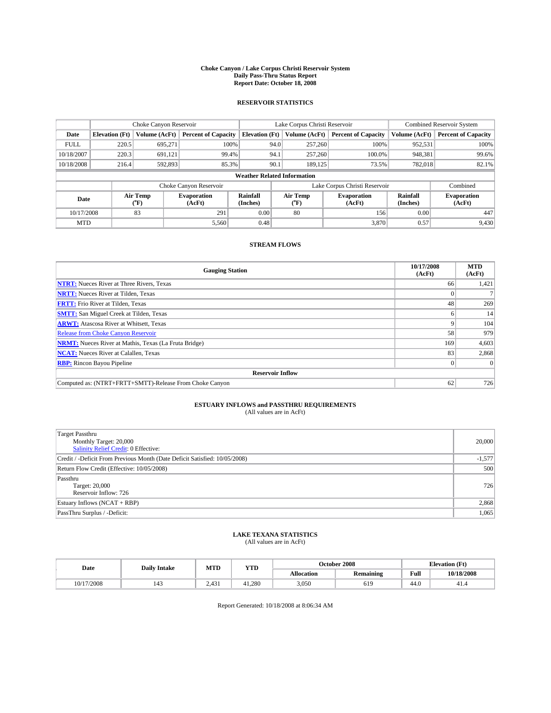#### **Choke Canyon / Lake Corpus Christi Reservoir System Daily Pass-Thru Status Report Report Date: October 18, 2008**

### **RESERVOIR STATISTICS**

|             | Choke Canyon Reservoir             |                  | Lake Corpus Christi Reservoir |                       |                               |                  | <b>Combined Reservoir System</b> |                      |                              |
|-------------|------------------------------------|------------------|-------------------------------|-----------------------|-------------------------------|------------------|----------------------------------|----------------------|------------------------------|
| Date        | <b>Elevation</b> (Ft)              | Volume (AcFt)    | <b>Percent of Capacity</b>    | <b>Elevation</b> (Ft) |                               | Volume (AcFt)    | <b>Percent of Capacity</b>       | Volume (AcFt)        | <b>Percent of Capacity</b>   |
| <b>FULL</b> | 220.5                              | 695,271          | 100%                          |                       | 94.0                          | 257,260          | 100%                             | 952,531              | 100%                         |
| 10/18/2007  | 220.3                              | 691.121          | 99.4%                         |                       | 94.1                          | 257,260          | 100.0%                           | 948,381              | 99.6%                        |
| 10/18/2008  | 216.4                              | 592,893          | 85.3%                         |                       | 90.1                          | 189.125          | 73.5%                            | 782,018              | 82.1%                        |
|             | <b>Weather Related Information</b> |                  |                               |                       |                               |                  |                                  |                      |                              |
|             |                                    |                  | Choke Canyon Reservoir        |                       | Lake Corpus Christi Reservoir |                  |                                  |                      | Combined                     |
| Date        |                                    | Air Temp<br>(°F) | <b>Evaporation</b><br>(AcFt)  | Rainfall<br>(Inches)  |                               | Air Temp<br>("F) | <b>Evaporation</b><br>(AcFt)     | Rainfall<br>(Inches) | <b>Evaporation</b><br>(AcFt) |
| 10/17/2008  |                                    | 83               | 291                           | 0.00                  |                               | 80               | 156                              | 0.00                 | 447                          |
| <b>MTD</b>  |                                    |                  | 5,560                         | 0.48                  |                               |                  | 3,870                            | 0.57                 | 9,430                        |

### **STREAM FLOWS**

| <b>Gauging Station</b>                                       | 10/17/2008<br>(AcFt) | <b>MTD</b><br>(AcFt) |  |  |  |  |  |
|--------------------------------------------------------------|----------------------|----------------------|--|--|--|--|--|
| <b>NTRT:</b> Nueces River at Three Rivers, Texas             | 66                   | 1,421                |  |  |  |  |  |
| <b>NRTT:</b> Nueces River at Tilden, Texas                   |                      |                      |  |  |  |  |  |
| <b>FRTT:</b> Frio River at Tilden, Texas                     | 48                   | 269                  |  |  |  |  |  |
| <b>SMTT:</b> San Miguel Creek at Tilden, Texas               | n                    | 14                   |  |  |  |  |  |
| <b>ARWT:</b> Atascosa River at Whitsett, Texas               | 9                    | 104                  |  |  |  |  |  |
| <b>Release from Choke Canyon Reservoir</b>                   | 58                   | 979                  |  |  |  |  |  |
| <b>NRMT:</b> Nueces River at Mathis, Texas (La Fruta Bridge) | 169                  | 4,603                |  |  |  |  |  |
| <b>NCAT:</b> Nueces River at Calallen, Texas                 | 83                   | 2,868                |  |  |  |  |  |
| <b>RBP:</b> Rincon Bayou Pipeline                            | $\theta$             |                      |  |  |  |  |  |
| <b>Reservoir Inflow</b>                                      |                      |                      |  |  |  |  |  |
| Computed as: (NTRT+FRTT+SMTT)-Release From Choke Canyon      | 62                   | 726                  |  |  |  |  |  |

# **ESTUARY INFLOWS and PASSTHRU REQUIREMENTS**<br>(All values are in AcFt)

| <b>Target Passthru</b><br>Monthly Target: 20,000<br>Salinity Relief Credit: 0 Effective: | 20,000   |
|------------------------------------------------------------------------------------------|----------|
| Credit / -Deficit From Previous Month (Date Deficit Satisfied: 10/05/2008)               | $-1,577$ |
| Return Flow Credit (Effective: 10/05/2008)                                               | 500      |
| Passthru<br>Target: 20,000<br>Reservoir Inflow: 726                                      | 726      |
| Estuary Inflows (NCAT + RBP)                                                             | 2,868    |
| PassThru Surplus / -Deficit:                                                             | 1,065    |

## **LAKE TEXANA STATISTICS** (All values are in AcFt)

| Date       | <b>Daily Intake</b> | MTD   | YTD    |            | October 2008     | <b>Elevation</b> (Ft) |            |
|------------|---------------------|-------|--------|------------|------------------|-----------------------|------------|
|            |                     |       |        | Allocation | <b>Remaining</b> | Full                  | 10/18/2008 |
| 10/17/2008 | $\overline{a}$      | 2.431 | 41.280 | 3,050      | 619              | 44.0                  | 41.4       |

Report Generated: 10/18/2008 at 8:06:34 AM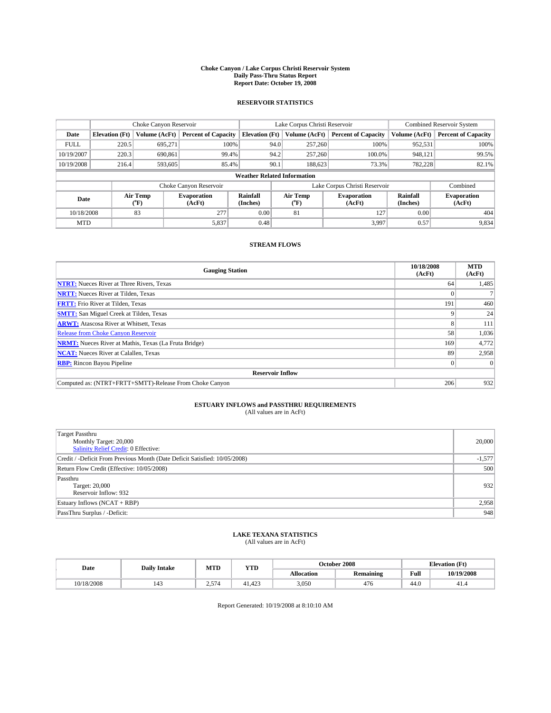#### **Choke Canyon / Lake Corpus Christi Reservoir System Daily Pass-Thru Status Report Report Date: October 19, 2008**

### **RESERVOIR STATISTICS**

|             | Choke Canyon Reservoir |                  | Lake Corpus Christi Reservoir |                       |                                    | <b>Combined Reservoir System</b> |                              |                      |                              |
|-------------|------------------------|------------------|-------------------------------|-----------------------|------------------------------------|----------------------------------|------------------------------|----------------------|------------------------------|
| Date        | <b>Elevation</b> (Ft)  | Volume (AcFt)    | <b>Percent of Capacity</b>    | <b>Elevation</b> (Ft) | Volume (AcFt)                      |                                  | <b>Percent of Capacity</b>   | Volume (AcFt)        | <b>Percent of Capacity</b>   |
| <b>FULL</b> | 220.5                  | 695,271          | 100%                          |                       | 94.0                               | 257,260                          | 100%                         | 952,531              | 100%                         |
| 10/19/2007  | 220.3                  | 690,861          | 99.4%                         |                       | 94.2                               | 257,260                          | 100.0%                       | 948,121              | 99.5%                        |
| 10/19/2008  | 216.4                  | 593,605          | 85.4%                         |                       | 90.1                               | 188,623                          | 73.3%                        | 782.228              | 82.1%                        |
|             |                        |                  |                               |                       | <b>Weather Related Information</b> |                                  |                              |                      |                              |
|             |                        |                  | Choke Canyon Reservoir        |                       | Lake Corpus Christi Reservoir      |                                  |                              |                      | Combined                     |
| Date        |                        | Air Temp<br>(°F) | <b>Evaporation</b><br>(AcFt)  | Rainfall<br>(Inches)  | Air Temp<br>("F)                   |                                  | <b>Evaporation</b><br>(AcFt) | Rainfall<br>(Inches) | <b>Evaporation</b><br>(AcFt) |
| 10/18/2008  |                        | 83               | 277                           | 0.00                  | 81                                 |                                  | 127                          | 0.00                 | 404                          |
| <b>MTD</b>  |                        |                  | 5,837                         | 0.48                  |                                    |                                  | 3,997                        | 0.57                 | 9,834                        |

### **STREAM FLOWS**

| <b>Gauging Station</b>                                       | 10/18/2008<br>(AcFt) | <b>MTD</b><br>(AcFt) |
|--------------------------------------------------------------|----------------------|----------------------|
| <b>NTRT:</b> Nueces River at Three Rivers, Texas             | 64                   | 1,485                |
| <b>NRTT:</b> Nueces River at Tilden, Texas                   |                      |                      |
| <b>FRTT:</b> Frio River at Tilden, Texas                     | 191                  | 460                  |
| <b>SMTT:</b> San Miguel Creek at Tilden, Texas               | 9                    | 24                   |
| <b>ARWT:</b> Atascosa River at Whitsett, Texas               | 8                    | 111                  |
| <b>Release from Choke Canyon Reservoir</b>                   | 58                   | 1,036                |
| <b>NRMT:</b> Nueces River at Mathis, Texas (La Fruta Bridge) | 169                  | 4,772                |
| <b>NCAT:</b> Nueces River at Calallen, Texas                 | 89                   | 2,958                |
| <b>RBP:</b> Rincon Bayou Pipeline                            | $\overline{0}$       |                      |
| <b>Reservoir Inflow</b>                                      |                      |                      |
| Computed as: (NTRT+FRTT+SMTT)-Release From Choke Canyon      | 206                  | 932                  |

# **ESTUARY INFLOWS and PASSTHRU REQUIREMENTS**<br>(All values are in AcFt)

| <b>Target Passthru</b><br>Monthly Target: 20,000<br>Salinity Relief Credit: 0 Effective: | 20,000   |
|------------------------------------------------------------------------------------------|----------|
| Credit / -Deficit From Previous Month (Date Deficit Satisfied: 10/05/2008)               | $-1,577$ |
| Return Flow Credit (Effective: 10/05/2008)                                               | 500      |
| Passthru<br>Target: 20,000<br>Reservoir Inflow: 932                                      | 932      |
| Estuary Inflows (NCAT + RBP)                                                             | 2,958    |
| PassThru Surplus / -Deficit:                                                             | 948      |

## **LAKE TEXANA STATISTICS** (All values are in AcFt)

| Date       | <b>Daily Intake</b>   | MTD         | YTD    | October 2008 |                  |      | <b>Elevation</b> (Ft) |
|------------|-----------------------|-------------|--------|--------------|------------------|------|-----------------------|
|            |                       |             |        | Allocation   | <b>Remaining</b> | Full | 10/19/2008            |
| 10/18/2008 | $\overline{1}$<br>140 | .574<br>د.ء | 41.423 | 3,050        | 476              | 44.0 | 41.4                  |

Report Generated: 10/19/2008 at 8:10:10 AM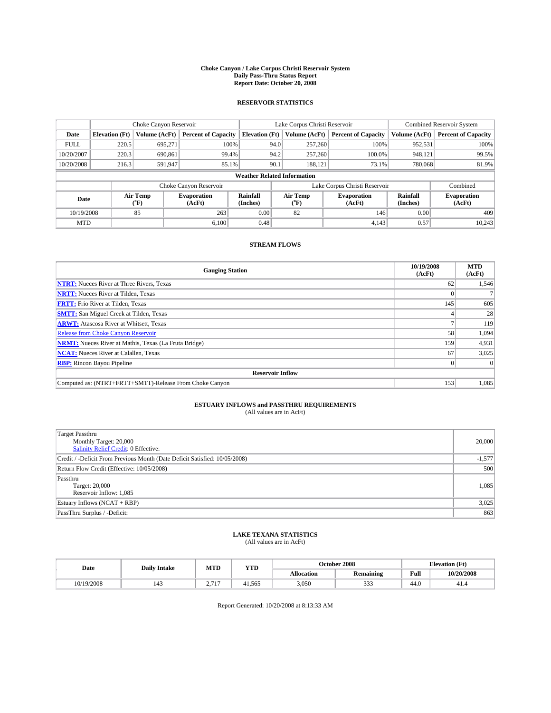#### **Choke Canyon / Lake Corpus Christi Reservoir System Daily Pass-Thru Status Report Report Date: October 20, 2008**

### **RESERVOIR STATISTICS**

|             |                       | Choke Canyon Reservoir |                              | Lake Corpus Christi Reservoir |                                    |  | <b>Combined Reservoir System</b> |                      |                              |
|-------------|-----------------------|------------------------|------------------------------|-------------------------------|------------------------------------|--|----------------------------------|----------------------|------------------------------|
| Date        | <b>Elevation</b> (Ft) | Volume (AcFt)          | <b>Percent of Capacity</b>   | <b>Elevation</b> (Ft)         | Volume (AcFt)                      |  | <b>Percent of Capacity</b>       | Volume (AcFt)        | <b>Percent of Capacity</b>   |
| <b>FULL</b> | 220.5                 | 695,271                | 100%                         |                               | 257,260<br>94.0                    |  | 100%                             | 952,531              | 100%                         |
| 10/20/2007  | 220.3                 | 690,861                | 99.4%                        |                               | 94.2<br>257,260                    |  | 100.0%                           | 948,121              | 99.5%                        |
| 10/20/2008  | 216.3                 | 591,947                | 85.1%                        |                               | 90.1<br>188.121                    |  | 73.1%                            | 780,068              | 81.9%                        |
|             |                       |                        |                              |                               | <b>Weather Related Information</b> |  |                                  |                      |                              |
|             |                       |                        | Choke Canyon Reservoir       |                               | Lake Corpus Christi Reservoir      |  |                                  |                      | Combined                     |
| Date        |                       | Air Temp<br>(°F)       | <b>Evaporation</b><br>(AcFt) | Rainfall<br>(Inches)          | Air Temp<br>("F)                   |  | <b>Evaporation</b><br>(AcFt)     | Rainfall<br>(Inches) | <b>Evaporation</b><br>(AcFt) |
| 10/19/2008  |                       | 85                     | 263                          | 0.00                          | 82                                 |  | 146                              | 0.00                 | 409                          |
| <b>MTD</b>  |                       |                        | 6.100                        | 0.48                          |                                    |  | 4.143                            | 0.57                 | 10.243                       |

### **STREAM FLOWS**

| <b>Gauging Station</b>                                       | 10/19/2008<br>(AcFt) | <b>MTD</b><br>(AcFt) |
|--------------------------------------------------------------|----------------------|----------------------|
| <b>NTRT:</b> Nueces River at Three Rivers, Texas             | 62                   | 1,546                |
| <b>NRTT:</b> Nueces River at Tilden, Texas                   |                      |                      |
| <b>FRTT:</b> Frio River at Tilden, Texas                     | 145                  | 605                  |
| <b>SMTT:</b> San Miguel Creek at Tilden, Texas               |                      | 28                   |
| <b>ARWT:</b> Atascosa River at Whitsett, Texas               |                      | 119                  |
| <b>Release from Choke Canyon Reservoir</b>                   | 58                   | 1,094                |
| <b>NRMT:</b> Nueces River at Mathis, Texas (La Fruta Bridge) | 159                  | 4,931                |
| <b>NCAT:</b> Nueces River at Calallen, Texas                 | 67                   | 3,025                |
| <b>RBP:</b> Rincon Bayou Pipeline                            | $\vert 0 \vert$      |                      |
| <b>Reservoir Inflow</b>                                      |                      |                      |
| Computed as: (NTRT+FRTT+SMTT)-Release From Choke Canyon      | 153                  | 1,085                |

# **ESTUARY INFLOWS and PASSTHRU REQUIREMENTS**<br>(All values are in AcFt)

| <b>Target Passthru</b><br>Monthly Target: 20,000<br>Salinity Relief Credit: 0 Effective: | 20,000   |
|------------------------------------------------------------------------------------------|----------|
| Credit / -Deficit From Previous Month (Date Deficit Satisfied: 10/05/2008)               | $-1,577$ |
| Return Flow Credit (Effective: 10/05/2008)                                               | 500      |
| Passthru<br>Target: 20,000<br>Reservoir Inflow: 1,085                                    | 1,085    |
| Estuary Inflows (NCAT + RBP)                                                             | 3,025    |
| PassThru Surplus / -Deficit:                                                             | 863      |

## **LAKE TEXANA STATISTICS** (All values are in AcFt)

|  | Date       | <b>Daily Intake</b> | MTD                                    | <b>YTD</b> |            | October 2008 |      | $(T+$<br><b>Elevation</b> (<br>LE L |
|--|------------|---------------------|----------------------------------------|------------|------------|--------------|------|-------------------------------------|
|  |            |                     |                                        |            | Allocation | Remaining    | Full | 10/20/2008                          |
|  | 10/19/2008 | 143                 | $-1.717$<br><u>.</u><br>$\overline{1}$ | 41.565     | 3,050      | $\sim$<br>-  | 44.0 | 41.4                                |

Report Generated: 10/20/2008 at 8:13:33 AM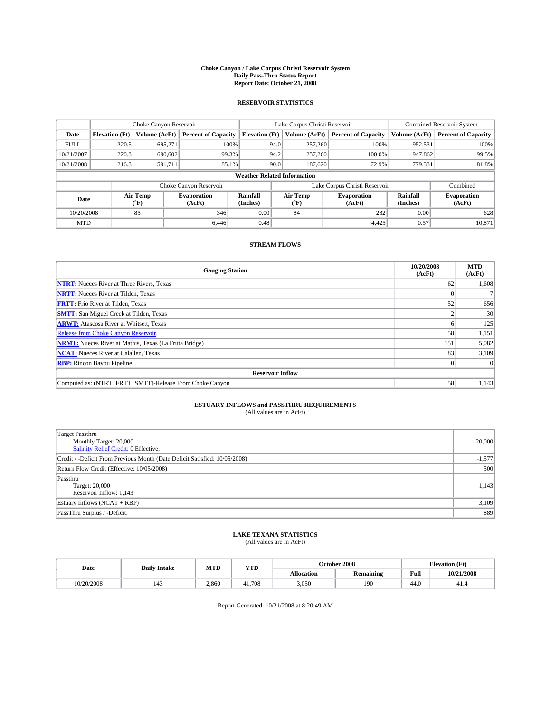#### **Choke Canyon / Lake Corpus Christi Reservoir System Daily Pass-Thru Status Report Report Date: October 21, 2008**

### **RESERVOIR STATISTICS**

|             | Choke Canyon Reservoir |                  |                              | Lake Corpus Christi Reservoir      |                               | <b>Combined Reservoir System</b> |                              |                      |                              |
|-------------|------------------------|------------------|------------------------------|------------------------------------|-------------------------------|----------------------------------|------------------------------|----------------------|------------------------------|
| Date        | <b>Elevation</b> (Ft)  | Volume (AcFt)    | <b>Percent of Capacity</b>   | <b>Elevation</b> (Ft)              |                               | Volume (AcFt)                    | <b>Percent of Capacity</b>   | Volume (AcFt)        | <b>Percent of Capacity</b>   |
| <b>FULL</b> | 220.5                  | 695,271          | 100%                         |                                    | 94.0                          | 257,260                          | 100%                         | 952,531              | 100%                         |
| 10/21/2007  | 220.3                  | 690,602          | 99.3%                        |                                    | 94.2                          | 257,260                          | 100.0%                       | 947,862              | 99.5%                        |
| 10/21/2008  | 216.3                  | 591,711          | 85.1%                        |                                    | 90.0                          | 187,620                          | 72.9%                        | 779,331              | 81.8%                        |
|             |                        |                  |                              | <b>Weather Related Information</b> |                               |                                  |                              |                      |                              |
|             |                        |                  | Choke Canyon Reservoir       |                                    | Lake Corpus Christi Reservoir |                                  |                              |                      | Combined                     |
| Date        |                        | Air Temp<br>(°F) | <b>Evaporation</b><br>(AcFt) | Rainfall<br>(Inches)               |                               | Air Temp<br>("F)                 | <b>Evaporation</b><br>(AcFt) | Rainfall<br>(Inches) | <b>Evaporation</b><br>(AcFt) |
| 10/20/2008  |                        | 85               | 346                          | 0.00                               |                               | 84                               | 282                          | 0.00                 | 628                          |
| <b>MTD</b>  |                        |                  | 6.446                        | 0.48                               |                               |                                  | 4.425                        | 0.57                 | 10,871                       |

### **STREAM FLOWS**

| <b>Gauging Station</b>                                       | 10/20/2008<br>(AcFt) | <b>MTD</b><br>(AcFt) |
|--------------------------------------------------------------|----------------------|----------------------|
| <b>NTRT:</b> Nueces River at Three Rivers, Texas             | 62                   | 1,608                |
| <b>NRTT:</b> Nueces River at Tilden, Texas                   |                      |                      |
| <b>FRTT:</b> Frio River at Tilden, Texas                     | 52                   | 656                  |
| <b>SMTT:</b> San Miguel Creek at Tilden, Texas               |                      | 30                   |
| <b>ARWT:</b> Atascosa River at Whitsett, Texas               | n.                   | 125                  |
| <b>Release from Choke Canyon Reservoir</b>                   | 58                   | 1,151                |
| <b>NRMT:</b> Nueces River at Mathis, Texas (La Fruta Bridge) | 151                  | 5,082                |
| <b>NCAT:</b> Nueces River at Calallen, Texas                 | 83                   | 3,109                |
| <b>RBP:</b> Rincon Bayou Pipeline                            | $\Omega$             |                      |
| <b>Reservoir Inflow</b>                                      |                      |                      |
| Computed as: (NTRT+FRTT+SMTT)-Release From Choke Canyon      | 58                   | 1,143                |

# **ESTUARY INFLOWS and PASSTHRU REQUIREMENTS**<br>(All values are in AcFt)

| <b>Target Passthru</b><br>Monthly Target: 20,000<br>Salinity Relief Credit: 0 Effective: | 20,000   |
|------------------------------------------------------------------------------------------|----------|
| Credit / -Deficit From Previous Month (Date Deficit Satisfied: 10/05/2008)               | $-1,577$ |
| Return Flow Credit (Effective: 10/05/2008)                                               | 500      |
| Passthru<br>Target: 20,000<br>Reservoir Inflow: 1,143                                    | 1,143    |
| Estuary Inflows (NCAT + RBP)                                                             | 3,109    |
| PassThru Surplus / -Deficit:                                                             | 889      |

## **LAKE TEXANA STATISTICS** (All values are in AcFt)

|  | Date       | <b>Daily Intake</b> | MTD   | <b>YTD</b> |            | October 2008 |      | <b>Elevation</b> (Ft) |  |
|--|------------|---------------------|-------|------------|------------|--------------|------|-----------------------|--|
|  |            |                     |       |            | Allocation | Remaining    | Full | 10/21/2008            |  |
|  | 10/20/2008 | 143                 | 2,860 | 41.708     | 3,050      | 190          | 44.0 | 41.4                  |  |

Report Generated: 10/21/2008 at 8:20:49 AM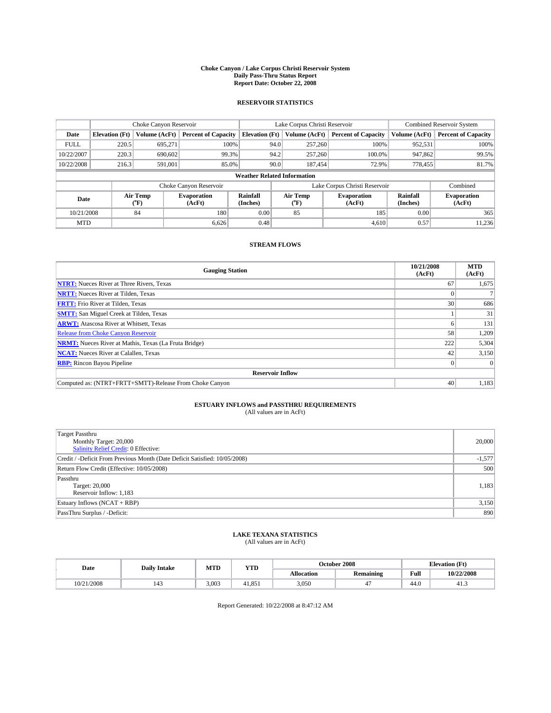#### **Choke Canyon / Lake Corpus Christi Reservoir System Daily Pass-Thru Status Report Report Date: October 22, 2008**

### **RESERVOIR STATISTICS**

|             | Choke Canyon Reservoir |                  |                              |                                    | Lake Corpus Christi Reservoir |                  |                              |                             | <b>Combined Reservoir System</b> |  |
|-------------|------------------------|------------------|------------------------------|------------------------------------|-------------------------------|------------------|------------------------------|-----------------------------|----------------------------------|--|
| Date        | <b>Elevation</b> (Ft)  | Volume (AcFt)    | <b>Percent of Capacity</b>   | <b>Elevation</b> (Ft)              |                               | Volume (AcFt)    | <b>Percent of Capacity</b>   | Volume (AcFt)               | <b>Percent of Capacity</b>       |  |
| <b>FULL</b> | 220.5                  | 695,271          | 100%                         |                                    | 94.0                          | 257,260          | 100%                         | 952,531                     | 100%                             |  |
| 10/22/2007  | 220.3                  | 690,602          | 99.3%                        |                                    | 94.2                          | 257,260          | 100.0%                       | 947,862                     | 99.5%                            |  |
| 10/22/2008  | 216.3                  | 591.001          | 85.0%                        |                                    | 90.0                          | 187.454          | 72.9%                        | 778.455                     | 81.7%                            |  |
|             |                        |                  |                              | <b>Weather Related Information</b> |                               |                  |                              |                             |                                  |  |
|             |                        |                  | Choke Canyon Reservoir       |                                    | Lake Corpus Christi Reservoir |                  |                              |                             | Combined                         |  |
| Date        |                        | Air Temp<br>(°F) | <b>Evaporation</b><br>(AcFt) | Rainfall<br>(Inches)               |                               | Air Temp<br>("F) | <b>Evaporation</b><br>(AcFt) | <b>Rainfall</b><br>(Inches) | <b>Evaporation</b><br>(AcFt)     |  |
| 10/21/2008  |                        | 84               | 180                          | 0.00                               |                               | 85               | 185                          | 0.00                        | 365                              |  |
| <b>MTD</b>  |                        |                  | 6,626                        | 0.48                               |                               |                  | 4,610                        | 0.57                        | 11,236                           |  |

### **STREAM FLOWS**

| <b>Gauging Station</b>                                       | 10/21/2008<br>(AcFt) | <b>MTD</b><br>(AcFt) |
|--------------------------------------------------------------|----------------------|----------------------|
| <b>NTRT:</b> Nueces River at Three Rivers, Texas             | 67                   | 1,675                |
| <b>NRTT:</b> Nueces River at Tilden, Texas                   |                      |                      |
| <b>FRTT:</b> Frio River at Tilden, Texas                     | 30 <sup>1</sup>      | 686                  |
| <b>SMTT:</b> San Miguel Creek at Tilden, Texas               |                      | 31                   |
| <b>ARWT:</b> Atascosa River at Whitsett, Texas               | h.                   | 131                  |
| <b>Release from Choke Canyon Reservoir</b>                   | 58                   | 1,209                |
| <b>NRMT:</b> Nueces River at Mathis, Texas (La Fruta Bridge) | 222                  | 5,304                |
| <b>NCAT:</b> Nueces River at Calallen, Texas                 | 42                   | 3,150                |
| <b>RBP:</b> Rincon Bayou Pipeline                            | $\vert 0 \vert$      |                      |
| <b>Reservoir Inflow</b>                                      |                      |                      |
| Computed as: (NTRT+FRTT+SMTT)-Release From Choke Canyon      | 40                   | 1,183                |

# **ESTUARY INFLOWS and PASSTHRU REQUIREMENTS**<br>(All values are in AcFt)

| Target Passthru<br>Monthly Target: 20,000<br>Salinity Relief Credit: 0 Effective: | 20,000   |
|-----------------------------------------------------------------------------------|----------|
| Credit / -Deficit From Previous Month (Date Deficit Satisfied: 10/05/2008)        | $-1,577$ |
| Return Flow Credit (Effective: 10/05/2008)                                        | 500      |
| Passthru<br>Target: 20,000<br>Reservoir Inflow: 1,183                             | 1,183    |
| Estuary Inflows (NCAT + RBP)                                                      | 3,150    |
| PassThru Surplus / -Deficit:                                                      | 890      |

## **LAKE TEXANA STATISTICS** (All values are in AcFt)

| Date       | <b>Daily Intake</b>   | MTD   | YTD    |            | October 2008     | <b>Elevation</b> (Ft) |            |
|------------|-----------------------|-------|--------|------------|------------------|-----------------------|------------|
|            |                       |       |        | Allocation | <b>Remaining</b> | Full                  | 10/22/2008 |
| 10/21/2008 | $\overline{1}$<br>143 | 3.003 | 41.851 | 3,050      |                  | 44.0                  | 41.3       |

Report Generated: 10/22/2008 at 8:47:12 AM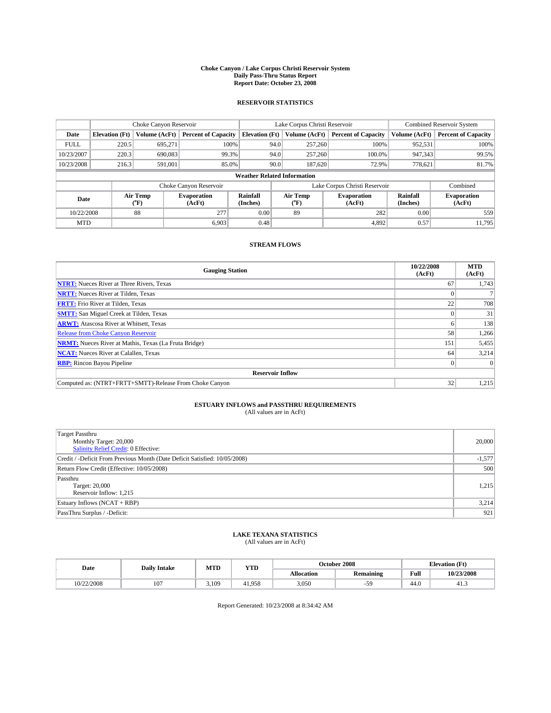#### **Choke Canyon / Lake Corpus Christi Reservoir System Daily Pass-Thru Status Report Report Date: October 23, 2008**

### **RESERVOIR STATISTICS**

|             | Choke Canyon Reservoir |                  |                              |                                    | Lake Corpus Christi Reservoir |         |                              |                      | <b>Combined Reservoir System</b> |  |  |
|-------------|------------------------|------------------|------------------------------|------------------------------------|-------------------------------|---------|------------------------------|----------------------|----------------------------------|--|--|
| Date        | <b>Elevation</b> (Ft)  | Volume (AcFt)    | <b>Percent of Capacity</b>   | <b>Elevation</b> (Ft)              | Volume (AcFt)                 |         | <b>Percent of Capacity</b>   | Volume (AcFt)        | <b>Percent of Capacity</b>       |  |  |
| <b>FULL</b> | 220.5                  | 695,271          | 100%                         |                                    | 94.0                          | 257,260 | 100%                         | 952,531              | 100%                             |  |  |
| 10/23/2007  | 220.3                  | 690,083          | 99.3%                        |                                    | 94.0                          | 257,260 | 100.0%                       | 947,343              | 99.5%                            |  |  |
| 10/23/2008  | 216.3                  | 591,001          | 85.0%                        |                                    | 90.0                          | 187,620 | 72.9%                        | 778,621              | 81.7%                            |  |  |
|             |                        |                  |                              | <b>Weather Related Information</b> |                               |         |                              |                      |                                  |  |  |
|             |                        |                  | Choke Canyon Reservoir       |                                    | Lake Corpus Christi Reservoir |         |                              |                      | Combined                         |  |  |
| Date        |                        | Air Temp<br>(°F) | <b>Evaporation</b><br>(AcFt) | Rainfall<br>(Inches)               | Air Temp<br>("F)              |         | <b>Evaporation</b><br>(AcFt) | Rainfall<br>(Inches) | <b>Evaporation</b><br>(AcFt)     |  |  |
| 10/22/2008  |                        | 88               | 277                          | 0.00                               | 89                            |         | 282                          | 0.00                 | 559                              |  |  |
| <b>MTD</b>  |                        |                  | 6.903                        | 0.48                               |                               |         | 4.892                        | 0.57                 | 11.795                           |  |  |

### **STREAM FLOWS**

| <b>Gauging Station</b>                                       | 10/22/2008<br>(AcFt) | <b>MTD</b><br>(AcFt) |
|--------------------------------------------------------------|----------------------|----------------------|
| <b>NTRT:</b> Nueces River at Three Rivers, Texas             | 67                   | 1,743                |
| <b>NRTT:</b> Nueces River at Tilden, Texas                   |                      |                      |
| <b>FRTT:</b> Frio River at Tilden, Texas                     | 22                   | 708                  |
| <b>SMTT:</b> San Miguel Creek at Tilden, Texas               |                      | 31                   |
| <b>ARWT:</b> Atascosa River at Whitsett, Texas               | h.                   | 138                  |
| <b>Release from Choke Canyon Reservoir</b>                   | 58                   | 1,266                |
| <b>NRMT:</b> Nueces River at Mathis, Texas (La Fruta Bridge) | 151                  | 5,455                |
| <b>NCAT:</b> Nueces River at Calallen, Texas                 | 64                   | 3,214                |
| <b>RBP:</b> Rincon Bayou Pipeline                            | $\theta$             |                      |
| <b>Reservoir Inflow</b>                                      |                      |                      |
| Computed as: (NTRT+FRTT+SMTT)-Release From Choke Canyon      | 32 <sub>1</sub>      | 1,215                |

# **ESTUARY INFLOWS and PASSTHRU REQUIREMENTS**

|  | (All values are in AcFt) |
|--|--------------------------|
|--|--------------------------|

| <b>Target Passthru</b><br>Monthly Target: 20,000<br>Salinity Relief Credit: 0 Effective: | 20,000   |
|------------------------------------------------------------------------------------------|----------|
| Credit / -Deficit From Previous Month (Date Deficit Satisfied: 10/05/2008)               | $-1,577$ |
| Return Flow Credit (Effective: 10/05/2008)                                               | 500      |
| Passthru<br>Target: 20,000<br>Reservoir Inflow: 1,215                                    | 1,215    |
| Estuary Inflows (NCAT + RBP)                                                             | 3,214    |
| PassThru Surplus / -Deficit:                                                             | 921      |

## **LAKE TEXANA STATISTICS** (All values are in AcFt)

| Date       | MTD<br>YTD<br><b>Daily Intake</b> |       |        | October 2008 | <b>Elevation</b> (Ft) |      |            |
|------------|-----------------------------------|-------|--------|--------------|-----------------------|------|------------|
|            |                                   |       |        | Allocation   | <b>Remaining</b>      | Full | 10/23/2008 |
| 10/22/2008 | 107                               | 5.109 | 41.958 | 3,050        | -59                   | 44.0 | 41.3       |

Report Generated: 10/23/2008 at 8:34:42 AM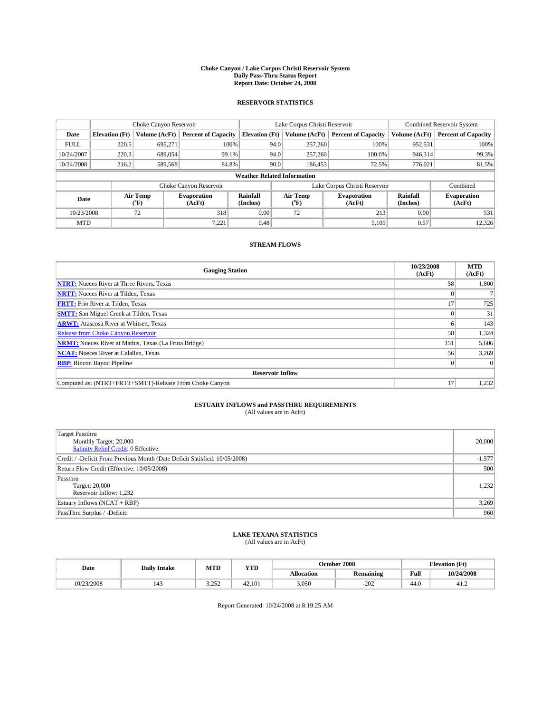#### **Choke Canyon / Lake Corpus Christi Reservoir System Daily Pass-Thru Status Report Report Date: October 24, 2008**

### **RESERVOIR STATISTICS**

|             | Choke Canyon Reservoir    |                  |                              |                                    | Lake Corpus Christi Reservoir | <b>Combined Reservoir System</b> |                      |                              |
|-------------|---------------------------|------------------|------------------------------|------------------------------------|-------------------------------|----------------------------------|----------------------|------------------------------|
| Date        | <b>Elevation</b> (Ft)     | Volume (AcFt)    | <b>Percent of Capacity</b>   | <b>Elevation</b> (Ft)              | Volume (AcFt)                 | <b>Percent of Capacity</b>       | Volume (AcFt)        | <b>Percent of Capacity</b>   |
| <b>FULL</b> | 220.5                     | 695,271          | 100%                         | 94.0                               | 257,260                       | 100%                             | 952,531              | 100%                         |
| 10/24/2007  | 220.3<br>689,054<br>99.1% |                  |                              | 257,260<br>94.0                    | 100.0%                        | 946.314                          | 99.3%                |                              |
| 10/24/2008  | 216.2                     | 589,568          | 84.8%                        | 90.0                               | 186,453                       | 72.5%                            | 776.021              | 81.5%                        |
|             |                           |                  |                              | <b>Weather Related Information</b> |                               |                                  |                      |                              |
|             |                           |                  | Choke Canyon Reservoir       |                                    | Lake Corpus Christi Reservoir |                                  |                      | Combined                     |
| Date        |                           | Air Temp<br>(°F) | <b>Evaporation</b><br>(AcFt) | Rainfall<br>(Inches)               | Air Temp<br>("F)              | <b>Evaporation</b><br>(AcFt)     | Rainfall<br>(Inches) | <b>Evaporation</b><br>(AcFt) |
| 10/23/2008  |                           | 72               | 318                          | 0.00                               | 72                            | 213                              | 0.00                 | 531                          |
| <b>MTD</b>  |                           |                  | 7,221                        | 0.48                               |                               | 5,105                            | 0.57                 | 12,326                       |

### **STREAM FLOWS**

| <b>Gauging Station</b>                                       | 10/23/2008<br>(AcFt) | <b>MTD</b><br>(AcFt) |
|--------------------------------------------------------------|----------------------|----------------------|
| <b>NTRT:</b> Nueces River at Three Rivers, Texas             | 58                   | 1,800                |
| <b>NRTT:</b> Nueces River at Tilden, Texas                   |                      |                      |
| <b>FRTT:</b> Frio River at Tilden, Texas                     | 17                   | 725                  |
| <b>SMTT:</b> San Miguel Creek at Tilden, Texas               |                      | 31                   |
| <b>ARWT:</b> Atascosa River at Whitsett, Texas               | n.                   | 143                  |
| <b>Release from Choke Canyon Reservoir</b>                   | 58                   | 1,324                |
| <b>NRMT:</b> Nueces River at Mathis, Texas (La Fruta Bridge) | 151                  | 5,606                |
| <b>NCAT:</b> Nueces River at Calallen, Texas                 | 56                   | 3,269                |
| <b>RBP:</b> Rincon Bayou Pipeline                            | $\theta$             |                      |
| <b>Reservoir Inflow</b>                                      |                      |                      |
| Computed as: (NTRT+FRTT+SMTT)-Release From Choke Canyon      | 17                   | 1,232                |

# **ESTUARY INFLOWS and PASSTHRU REQUIREMENTS**<br>(All values are in AcFt)

| <b>Target Passthru</b><br>Monthly Target: 20,000<br>Salinity Relief Credit: 0 Effective: | 20,000   |
|------------------------------------------------------------------------------------------|----------|
| Credit / -Deficit From Previous Month (Date Deficit Satisfied: 10/05/2008)               | $-1,577$ |
| Return Flow Credit (Effective: 10/05/2008)                                               | 500      |
| Passthru<br>Target: 20,000<br>Reservoir Inflow: 1,232                                    | 1,232    |
| Estuary Inflows (NCAT + RBP)                                                             | 3,269    |
| PassThru Surplus / -Deficit:                                                             | 960      |

## **LAKE TEXANA STATISTICS** (All values are in AcFt)

| Date       | <b>Daily Intake</b> | MTD           | YTD    |                   | October 2008     | <b>Elevation</b> (Ft) |            |
|------------|---------------------|---------------|--------|-------------------|------------------|-----------------------|------------|
|            |                     |               |        | <b>Allocation</b> | <b>Remaining</b> | Full                  | 10/24/2008 |
| 10/23/2008 | 143                 | 2.252<br>---- | 42.101 | 3,050             | $-202$           | 44.0                  | 41.4       |

Report Generated: 10/24/2008 at 8:19:25 AM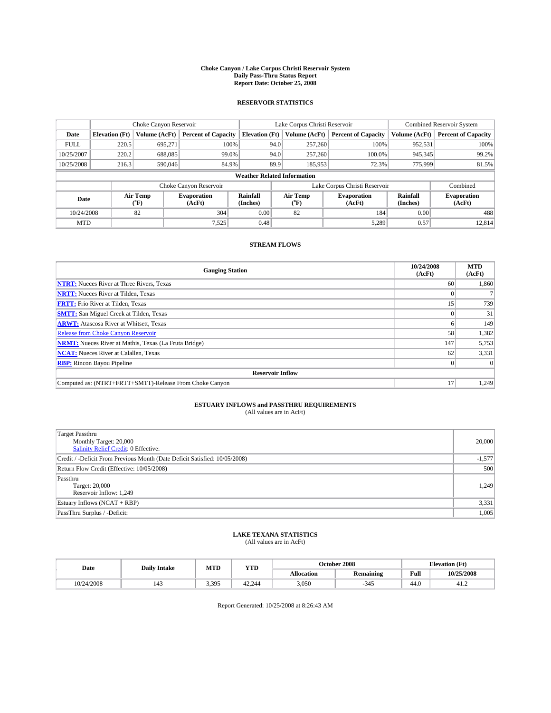#### **Choke Canyon / Lake Corpus Christi Reservoir System Daily Pass-Thru Status Report Report Date: October 25, 2008**

### **RESERVOIR STATISTICS**

|             | Choke Canyon Reservoir |                  |                              |                                    | Lake Corpus Christi Reservoir | <b>Combined Reservoir System</b> |                             |                              |
|-------------|------------------------|------------------|------------------------------|------------------------------------|-------------------------------|----------------------------------|-----------------------------|------------------------------|
| Date        | <b>Elevation</b> (Ft)  | Volume (AcFt)    | <b>Percent of Capacity</b>   | <b>Elevation</b> (Ft)              | Volume (AcFt)                 | <b>Percent of Capacity</b>       | Volume (AcFt)               | <b>Percent of Capacity</b>   |
| <b>FULL</b> | 220.5                  | 695,271          | 100%                         | 94.0                               | 257,260                       | 100%                             | 952,531                     | 100%                         |
| 10/25/2007  | 220.2                  | 688,085          | 99.0%                        | 94.0                               | 257,260                       | 100.0%                           | 945,345                     | 99.2%                        |
| 10/25/2008  | 216.3                  | 590,046          | 84.9%                        | 89.9                               | 185,953                       | 72.3%                            | 775,999                     | 81.5%                        |
|             |                        |                  |                              | <b>Weather Related Information</b> |                               |                                  |                             |                              |
|             |                        |                  | Choke Canyon Reservoir       |                                    | Lake Corpus Christi Reservoir |                                  |                             | Combined                     |
| Date        |                        | Air Temp<br>(°F) | <b>Evaporation</b><br>(AcFt) | Rainfall<br>(Inches)               | Air Temp<br>("F)              | <b>Evaporation</b><br>(AcFt)     | <b>Rainfall</b><br>(Inches) | <b>Evaporation</b><br>(AcFt) |
| 10/24/2008  |                        | 82               | 304                          | 0.00                               | 82                            | 184                              | 0.00                        | 488                          |
| <b>MTD</b>  |                        |                  | 7,525                        | 0.48                               |                               | 5,289                            | 0.57                        | 12.814                       |

### **STREAM FLOWS**

| <b>Gauging Station</b>                                       | 10/24/2008<br>(AcFt) | <b>MTD</b><br>(AcFt) |
|--------------------------------------------------------------|----------------------|----------------------|
| <b>NTRT:</b> Nueces River at Three Rivers, Texas             | 60                   | 1,860                |
| <b>NRTT:</b> Nueces River at Tilden, Texas                   |                      |                      |
| <b>FRTT:</b> Frio River at Tilden, Texas                     | 15                   | 739                  |
| <b>SMTT:</b> San Miguel Creek at Tilden, Texas               |                      | 31                   |
| <b>ARWT:</b> Atascosa River at Whitsett, Texas               | o                    | 149                  |
| Release from Choke Canyon Reservoir                          | 58                   | 1,382                |
| <b>NRMT:</b> Nueces River at Mathis, Texas (La Fruta Bridge) | 147                  | 5,753                |
| <b>NCAT:</b> Nueces River at Calallen, Texas                 | 62                   | 3,331                |
| <b>RBP:</b> Rincon Bayou Pipeline                            | $\vert 0 \vert$      |                      |
| <b>Reservoir Inflow</b>                                      |                      |                      |
| Computed as: (NTRT+FRTT+SMTT)-Release From Choke Canyon      | 17                   | 1,249                |

# **ESTUARY INFLOWS and PASSTHRU REQUIREMENTS**<br>(All values are in AcFt)

| <b>Target Passthru</b><br>Monthly Target: 20,000<br>Salinity Relief Credit: 0 Effective: | 20,000   |
|------------------------------------------------------------------------------------------|----------|
| Credit / -Deficit From Previous Month (Date Deficit Satisfied: 10/05/2008)               | $-1,577$ |
| Return Flow Credit (Effective: 10/05/2008)                                               | 500      |
| Passthru<br>Target: 20,000<br>Reservoir Inflow: 1,249                                    | 1.249    |
| Estuary Inflows (NCAT + RBP)                                                             | 3,331    |
| PassThru Surplus / -Deficit:                                                             | 1,005    |

## **LAKE TEXANA STATISTICS** (All values are in AcFt)

| Date       | <b>Daily Intake</b>   | MTD   | YTD    |            | October 2008     | <b>Elevation</b> (Ft) |            |
|------------|-----------------------|-------|--------|------------|------------------|-----------------------|------------|
|            |                       |       |        | Allocation | <b>Remaining</b> | Full                  | 10/25/2008 |
| 10/24/2008 | $\overline{1}$<br>140 | 3.395 | 42.244 | 3,050      | $-345$           | 44.0                  | 41.2       |

Report Generated: 10/25/2008 at 8:26:43 AM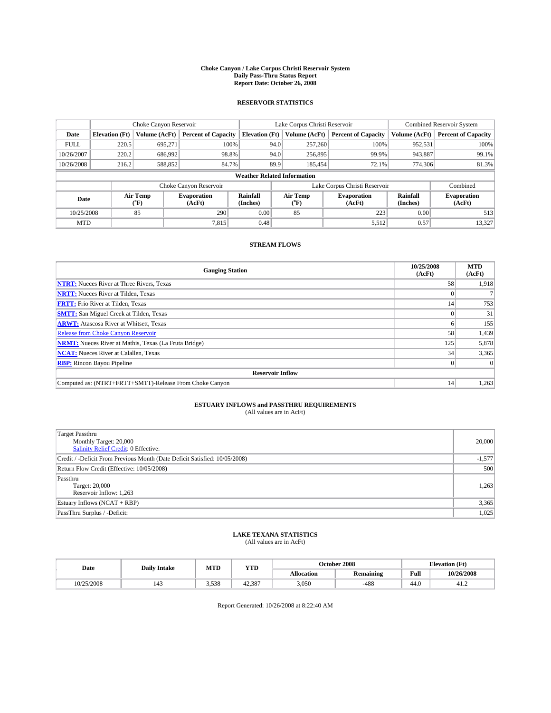#### **Choke Canyon / Lake Corpus Christi Reservoir System Daily Pass-Thru Status Report Report Date: October 26, 2008**

### **RESERVOIR STATISTICS**

|             | Choke Canyon Reservoir |                  | Lake Corpus Christi Reservoir |                                    |                               |                  | <b>Combined Reservoir System</b> |                      |                              |
|-------------|------------------------|------------------|-------------------------------|------------------------------------|-------------------------------|------------------|----------------------------------|----------------------|------------------------------|
| Date        | <b>Elevation</b> (Ft)  | Volume (AcFt)    | <b>Percent of Capacity</b>    | <b>Elevation</b> (Ft)              |                               | Volume (AcFt)    | <b>Percent of Capacity</b>       | Volume (AcFt)        | <b>Percent of Capacity</b>   |
| <b>FULL</b> | 220.5                  | 695,271          | 100%                          |                                    | 94.0                          | 257,260          | 100%                             | 952,531              | 100%                         |
| 10/26/2007  | 220.2                  | 686,992          | 98.8%                         |                                    | 94.0                          | 256,895          | 99.9%                            | 943,887              | 99.1%                        |
| 10/26/2008  | 216.2                  | 588,852          | 84.7%                         |                                    | 89.9                          | 185.454          | 72.1%                            | 774,306              | 81.3%                        |
|             |                        |                  |                               | <b>Weather Related Information</b> |                               |                  |                                  |                      |                              |
|             |                        |                  | Choke Canyon Reservoir        |                                    | Lake Corpus Christi Reservoir |                  |                                  |                      | Combined                     |
| Date        |                        | Air Temp<br>(°F) | <b>Evaporation</b><br>(AcFt)  | Rainfall<br>(Inches)               |                               | Air Temp<br>("F) | <b>Evaporation</b><br>(AcFt)     | Rainfall<br>(Inches) | <b>Evaporation</b><br>(AcFt) |
| 10/25/2008  |                        | 85               | 290                           | 0.00                               |                               | 85               | 223                              | 0.00                 | 513                          |
| <b>MTD</b>  |                        |                  | 7,815                         | 0.48                               |                               |                  | 5,512                            | 0.57                 | 13,327                       |

### **STREAM FLOWS**

| <b>Gauging Station</b>                                       | 10/25/2008<br>(AcFt) | <b>MTD</b><br>(AcFt) |
|--------------------------------------------------------------|----------------------|----------------------|
| <b>NTRT:</b> Nueces River at Three Rivers, Texas             | 58                   | 1,918                |
| <b>NRTT:</b> Nueces River at Tilden, Texas                   |                      |                      |
| <b>FRTT:</b> Frio River at Tilden, Texas                     | 14                   | 753                  |
| <b>SMTT:</b> San Miguel Creek at Tilden, Texas               |                      | 31                   |
| <b>ARWT:</b> Atascosa River at Whitsett, Texas               | h.                   | 155                  |
| <b>Release from Choke Canyon Reservoir</b>                   | 58                   | 1,439                |
| <b>NRMT:</b> Nueces River at Mathis, Texas (La Fruta Bridge) | 125                  | 5,878                |
| <b>NCAT:</b> Nueces River at Calallen, Texas                 | 34                   | 3,365                |
| <b>RBP:</b> Rincon Bayou Pipeline                            | $\vert 0 \vert$      |                      |
| <b>Reservoir Inflow</b>                                      |                      |                      |
| Computed as: (NTRT+FRTT+SMTT)-Release From Choke Canyon      | 14                   | 1,263                |

# **ESTUARY INFLOWS and PASSTHRU REQUIREMENTS**<br>(All values are in AcFt)

| <b>Target Passthru</b><br>Monthly Target: 20,000<br>Salinity Relief Credit: 0 Effective: | 20,000   |
|------------------------------------------------------------------------------------------|----------|
| Credit / -Deficit From Previous Month (Date Deficit Satisfied: 10/05/2008)               | $-1,577$ |
| Return Flow Credit (Effective: 10/05/2008)                                               | 500      |
| Passthru<br>Target: 20,000<br>Reservoir Inflow: 1,263                                    | 1,263    |
| Estuary Inflows (NCAT + RBP)                                                             | 3,365    |
| PassThru Surplus / -Deficit:                                                             | 1,025    |

## **LAKE TEXANA STATISTICS** (All values are in AcFt)

| Date |            | <b>Daily Intake</b> | MTD   | <b>YTD</b> |            | October 2008     | <b>Elevation</b> (Ft) |            |
|------|------------|---------------------|-------|------------|------------|------------------|-----------------------|------------|
|      |            |                     |       |            | Allocation | <b>Remaining</b> | Full                  | 10/26/2008 |
|      | 10/25/2008 | 143                 | 3.538 | 42.387     | 3,050      | $-488$           | 44.0                  | 41.2       |

Report Generated: 10/26/2008 at 8:22:40 AM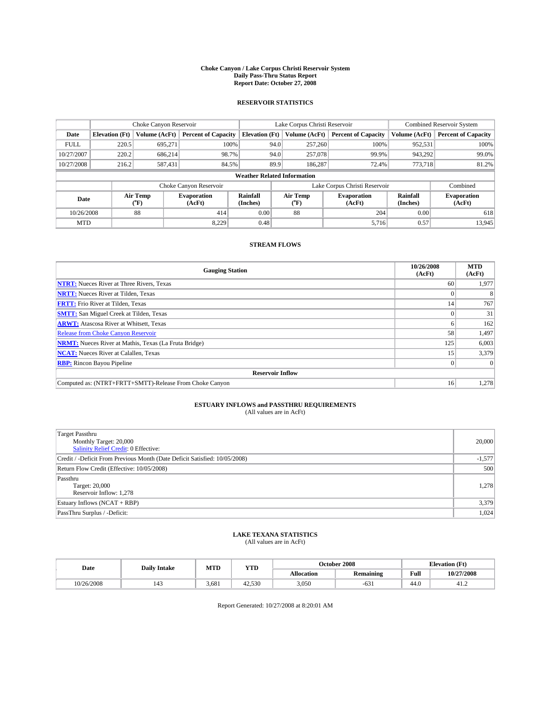#### **Choke Canyon / Lake Corpus Christi Reservoir System Daily Pass-Thru Status Report Report Date: October 27, 2008**

### **RESERVOIR STATISTICS**

|             | Choke Canyon Reservoir |                  |                              |                       | Lake Corpus Christi Reservoir      | <b>Combined Reservoir System</b> |                      |                              |
|-------------|------------------------|------------------|------------------------------|-----------------------|------------------------------------|----------------------------------|----------------------|------------------------------|
| Date        | <b>Elevation</b> (Ft)  | Volume (AcFt)    | <b>Percent of Capacity</b>   | <b>Elevation</b> (Ft) | Volume (AcFt)                      | <b>Percent of Capacity</b>       | Volume (AcFt)        | <b>Percent of Capacity</b>   |
| <b>FULL</b> | 220.5                  | 695,271          | 100%                         |                       | 257,260<br>94.0                    | 100%                             | 952,531              | 100%                         |
| 10/27/2007  | 220.2                  | 686.214          | 98.7%                        |                       | 94.0<br>257,078                    | 99.9%                            | 943,292              | 99.0%                        |
| 10/27/2008  | 216.2                  | 587,431          | 84.5%                        |                       | 89.9<br>186,287                    | 72.4%                            | 773,718              | 81.2%                        |
|             |                        |                  |                              |                       | <b>Weather Related Information</b> |                                  |                      |                              |
|             |                        |                  | Choke Canyon Reservoir       |                       | Lake Corpus Christi Reservoir      |                                  |                      | Combined                     |
| Date        |                        | Air Temp<br>(°F) | <b>Evaporation</b><br>(AcFt) | Rainfall<br>(Inches)  | Air Temp<br>("F)                   | <b>Evaporation</b><br>(AcFt)     | Rainfall<br>(Inches) | <b>Evaporation</b><br>(AcFt) |
| 10/26/2008  |                        | 88               | 414                          | 0.00                  | 88                                 | 204                              | 0.00                 | 618                          |
| <b>MTD</b>  |                        |                  | 8.229                        | 0.48                  |                                    | 5,716                            | 0.57                 | 13,945                       |

### **STREAM FLOWS**

| <b>Gauging Station</b>                                       | 10/26/2008<br>(AcFt) | <b>MTD</b><br>(AcFt) |
|--------------------------------------------------------------|----------------------|----------------------|
| <b>NTRT:</b> Nueces River at Three Rivers, Texas             | 60                   | 1,977                |
| <b>NRTT:</b> Nueces River at Tilden, Texas                   |                      |                      |
| <b>FRTT:</b> Frio River at Tilden, Texas                     | 14                   | 767                  |
| <b>SMTT:</b> San Miguel Creek at Tilden, Texas               |                      | 31                   |
| <b>ARWT:</b> Atascosa River at Whitsett, Texas               | h.                   | 162                  |
| <b>Release from Choke Canyon Reservoir</b>                   | 58                   | 1,497                |
| <b>NRMT:</b> Nueces River at Mathis, Texas (La Fruta Bridge) | 125                  | 6,003                |
| <b>NCAT:</b> Nueces River at Calallen, Texas                 | 15                   | 3,379                |
| <b>RBP:</b> Rincon Bayou Pipeline                            | $\vert 0 \vert$      |                      |
| <b>Reservoir Inflow</b>                                      |                      |                      |
| Computed as: (NTRT+FRTT+SMTT)-Release From Choke Canyon      | 16 <sup>1</sup>      | 1,278                |

# **ESTUARY INFLOWS and PASSTHRU REQUIREMENTS**<br>(All values are in AcFt)

| <b>Target Passthru</b><br>Monthly Target: 20,000<br>Salinity Relief Credit: 0 Effective: | 20,000   |
|------------------------------------------------------------------------------------------|----------|
| Credit / -Deficit From Previous Month (Date Deficit Satisfied: 10/05/2008)               | $-1,577$ |
| Return Flow Credit (Effective: 10/05/2008)                                               | 500      |
| Passthru<br>Target: 20,000<br>Reservoir Inflow: 1.278                                    | 1.278    |
| Estuary Inflows (NCAT + RBP)                                                             | 3,379    |
| PassThru Surplus / -Deficit:                                                             | 1,024    |

## **LAKE TEXANA STATISTICS** (All values are in AcFt)

| Date       | <b>Daily Intake</b>   | MTD   | YTD    | October 2008 |                  |      | <b>Elevation</b> (Ft) |
|------------|-----------------------|-------|--------|--------------|------------------|------|-----------------------|
|            |                       |       |        | Allocation   | <b>Remaining</b> | Full | 10/27/2008            |
| 10/26/2008 | $\overline{1}$<br>143 | 3.681 | 42.530 | 3,050        | $-631$           | 44.0 | 41.2                  |

Report Generated: 10/27/2008 at 8:20:01 AM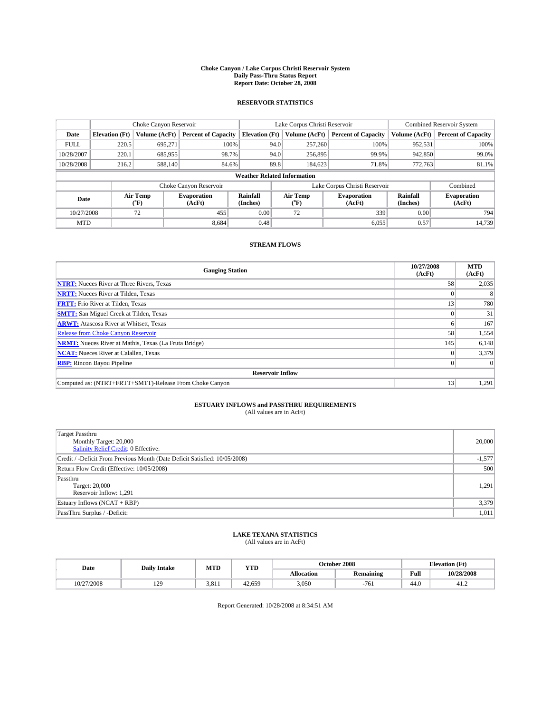#### **Choke Canyon / Lake Corpus Christi Reservoir System Daily Pass-Thru Status Report Report Date: October 28, 2008**

### **RESERVOIR STATISTICS**

|             | Choke Canyon Reservoir |                  |                              |                                    | Lake Corpus Christi Reservoir | <b>Combined Reservoir System</b> |                      |                              |
|-------------|------------------------|------------------|------------------------------|------------------------------------|-------------------------------|----------------------------------|----------------------|------------------------------|
| Date        | <b>Elevation</b> (Ft)  | Volume (AcFt)    | <b>Percent of Capacity</b>   | <b>Elevation</b> (Ft)              | Volume (AcFt)                 | <b>Percent of Capacity</b>       | Volume (AcFt)        | <b>Percent of Capacity</b>   |
| <b>FULL</b> | 220.5                  | 695,271          | 100%                         | 94.0                               | 257,260                       | 100%                             | 952,531              | 100%                         |
| 10/28/2007  | 220.1                  | 685,955          | 98.7%                        | 94.0                               | 256,895                       | 99.9%                            | 942,850              | 99.0%                        |
| 10/28/2008  | 216.2                  | 588,140          | 84.6%                        | 89.8                               | 184,623                       | 71.8%                            | 772,763              | 81.1%                        |
|             |                        |                  |                              | <b>Weather Related Information</b> |                               |                                  |                      |                              |
|             |                        |                  | Choke Canyon Reservoir       |                                    | Lake Corpus Christi Reservoir |                                  |                      | Combined                     |
| Date        |                        | Air Temp<br>(°F) | <b>Evaporation</b><br>(AcFt) | Rainfall<br>(Inches)               | Air Temp<br>("F)              | <b>Evaporation</b><br>(AcFt)     | Rainfall<br>(Inches) | <b>Evaporation</b><br>(AcFt) |
| 10/27/2008  |                        | 72               | 455                          | 0.00                               | 72                            | 339                              | 0.00                 | 794                          |
| <b>MTD</b>  |                        |                  | 8.684                        | 0.48                               |                               | 6,055                            | 0.57                 | 14.739                       |

### **STREAM FLOWS**

| <b>Gauging Station</b>                                       | 10/27/2008<br>(AcFt) | <b>MTD</b><br>(AcFt) |  |  |  |  |  |
|--------------------------------------------------------------|----------------------|----------------------|--|--|--|--|--|
| <b>NTRT:</b> Nueces River at Three Rivers, Texas             | 58                   | 2,035                |  |  |  |  |  |
| <b>NRTT:</b> Nueces River at Tilden, Texas                   |                      |                      |  |  |  |  |  |
| <b>FRTT:</b> Frio River at Tilden, Texas                     | 13                   | 780                  |  |  |  |  |  |
| <b>SMTT:</b> San Miguel Creek at Tilden, Texas               |                      | 31                   |  |  |  |  |  |
| <b>ARWT:</b> Atascosa River at Whitsett, Texas               | <sub>0</sub>         | 167                  |  |  |  |  |  |
| <b>Release from Choke Canyon Reservoir</b>                   | 58                   | 1,554                |  |  |  |  |  |
| <b>NRMT:</b> Nueces River at Mathis, Texas (La Fruta Bridge) | 145                  | 6,148                |  |  |  |  |  |
| <b>NCAT:</b> Nueces River at Calallen, Texas                 | $\theta$             | 3,379                |  |  |  |  |  |
| <b>RBP:</b> Rincon Bayou Pipeline                            | $\Omega$             |                      |  |  |  |  |  |
| <b>Reservoir Inflow</b>                                      |                      |                      |  |  |  |  |  |
| Computed as: (NTRT+FRTT+SMTT)-Release From Choke Canyon      | 13                   | 1,291                |  |  |  |  |  |

# **ESTUARY INFLOWS and PASSTHRU REQUIREMENTS**<br>(All values are in AcFt)

| <b>Target Passthru</b><br>Monthly Target: 20,000<br>Salinity Relief Credit: 0 Effective: | 20,000   |
|------------------------------------------------------------------------------------------|----------|
| Credit / -Deficit From Previous Month (Date Deficit Satisfied: 10/05/2008)               | $-1,577$ |
| Return Flow Credit (Effective: 10/05/2008)                                               | 500      |
| Passthru<br>Target: 20,000<br>Reservoir Inflow: 1,291                                    | 1,291    |
| Estuary Inflows (NCAT + RBP)                                                             | 3,379    |
| PassThru Surplus / -Deficit:                                                             | 1,011    |

## **LAKE TEXANA STATISTICS** (All values are in AcFt)

| Date       | <b>Daily Intake</b>   | MTD   | YTD    | October 2008 |                  |      | <b>Elevation</b> (Ft) |
|------------|-----------------------|-------|--------|--------------|------------------|------|-----------------------|
|            |                       |       |        | Allocation   | <b>Remaining</b> | Full | 10/28/2008            |
| 10/27/2008 | 120<br>$\overline{1}$ | 3.811 | 42.659 | 3,050        | $-761$           | 44.0 | 41.2                  |

Report Generated: 10/28/2008 at 8:34:51 AM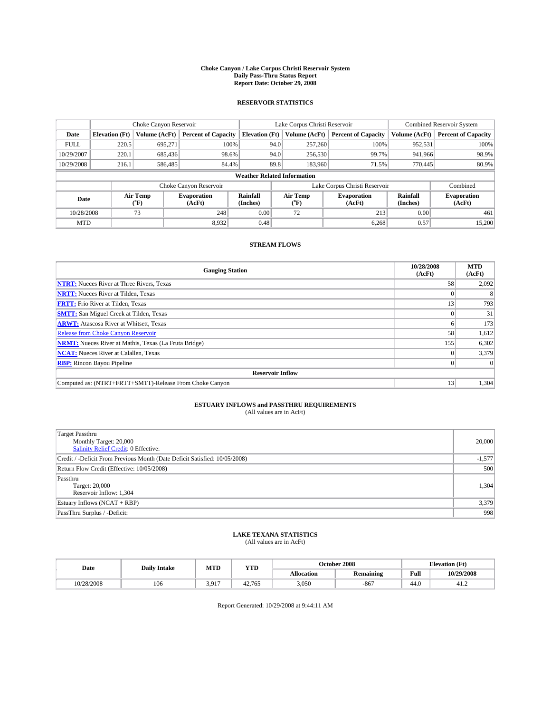#### **Choke Canyon / Lake Corpus Christi Reservoir System Daily Pass-Thru Status Report Report Date: October 29, 2008**

### **RESERVOIR STATISTICS**

|             | Choke Canyon Reservoir |                  |                              |                       | Lake Corpus Christi Reservoir      | <b>Combined Reservoir System</b> |                      |                              |
|-------------|------------------------|------------------|------------------------------|-----------------------|------------------------------------|----------------------------------|----------------------|------------------------------|
| Date        | <b>Elevation</b> (Ft)  | Volume (AcFt)    | <b>Percent of Capacity</b>   | <b>Elevation</b> (Ft) | Volume (AcFt)                      | <b>Percent of Capacity</b>       | Volume (AcFt)        | <b>Percent of Capacity</b>   |
| <b>FULL</b> | 220.5                  | 695,271          | 100%                         |                       | 257,260<br>94.0                    | 100%                             | 952,531              | 100%                         |
| 10/29/2007  | 220.1                  | 685.436          | 98.6%                        |                       | 94.0<br>256,530                    | 99.7%                            | 941.966              | 98.9%                        |
| 10/29/2008  | 216.1                  | 586,485          | 84.4%                        |                       | 89.8<br>183,960                    | 71.5%                            | 770,445              | 80.9%                        |
|             |                        |                  |                              |                       | <b>Weather Related Information</b> |                                  |                      |                              |
|             |                        |                  | Choke Canyon Reservoir       |                       | Lake Corpus Christi Reservoir      |                                  |                      | Combined                     |
| Date        |                        | Air Temp<br>(°F) | <b>Evaporation</b><br>(AcFt) | Rainfall<br>(Inches)  | Air Temp<br>("F)                   | <b>Evaporation</b><br>(AcFt)     | Rainfall<br>(Inches) | <b>Evaporation</b><br>(AcFt) |
| 10/28/2008  |                        | 73               | 248                          | 0.00                  | 72                                 | 213                              | 0.00                 | 461                          |
| <b>MTD</b>  |                        |                  | 8.932                        | 0.48                  |                                    | 6.268                            | 0.57                 | 15.200                       |

### **STREAM FLOWS**

| <b>Gauging Station</b>                                       | 10/28/2008<br>(AcFt) | <b>MTD</b><br>(AcFt) |  |  |  |  |  |
|--------------------------------------------------------------|----------------------|----------------------|--|--|--|--|--|
| <b>NTRT:</b> Nueces River at Three Rivers, Texas             | 58                   | 2,092                |  |  |  |  |  |
| <b>NRTT:</b> Nueces River at Tilden, Texas                   |                      |                      |  |  |  |  |  |
| <b>FRTT:</b> Frio River at Tilden, Texas                     | 13                   | 793                  |  |  |  |  |  |
| <b>SMTT:</b> San Miguel Creek at Tilden, Texas               |                      | 31                   |  |  |  |  |  |
| <b>ARWT:</b> Atascosa River at Whitsett, Texas               | h.                   | 173                  |  |  |  |  |  |
| <b>Release from Choke Canyon Reservoir</b>                   | 58                   | 1,612                |  |  |  |  |  |
| <b>NRMT:</b> Nueces River at Mathis, Texas (La Fruta Bridge) | 155                  | 6,302                |  |  |  |  |  |
| <b>NCAT:</b> Nueces River at Calallen, Texas                 |                      | 3,379                |  |  |  |  |  |
| <b>RBP:</b> Rincon Bayou Pipeline                            | $\vert 0 \vert$      |                      |  |  |  |  |  |
| <b>Reservoir Inflow</b>                                      |                      |                      |  |  |  |  |  |
| Computed as: (NTRT+FRTT+SMTT)-Release From Choke Canyon      | 13                   | 1,304                |  |  |  |  |  |

# **ESTUARY INFLOWS and PASSTHRU REQUIREMENTS**<br>(All values are in AcFt)

| <b>Target Passthru</b><br>Monthly Target: 20,000<br>Salinity Relief Credit: 0 Effective: | 20,000   |
|------------------------------------------------------------------------------------------|----------|
| Credit / -Deficit From Previous Month (Date Deficit Satisfied: 10/05/2008)               | $-1,577$ |
| Return Flow Credit (Effective: 10/05/2008)                                               | 500      |
| Passthru<br>Target: 20,000<br>Reservoir Inflow: 1,304                                    | 1,304    |
| Estuary Inflows (NCAT + RBP)                                                             | 3,379    |
| PassThru Surplus / -Deficit:                                                             | 998      |

## **LAKE TEXANA STATISTICS** (All values are in AcFt)

| Date       | <b>Daily Intake</b> | MTD   | YTD    | October 2008 |                  |      | <b>Elevation</b> (Ft) |
|------------|---------------------|-------|--------|--------------|------------------|------|-----------------------|
|            |                     |       |        | Allocation   | <b>Remaining</b> | Full | 10/29/2008            |
| 10/28/2008 | 106                 | 3.917 | 42.765 | 3,050        | $-867$           | 44.0 | 41.2                  |

Report Generated: 10/29/2008 at 9:44:11 AM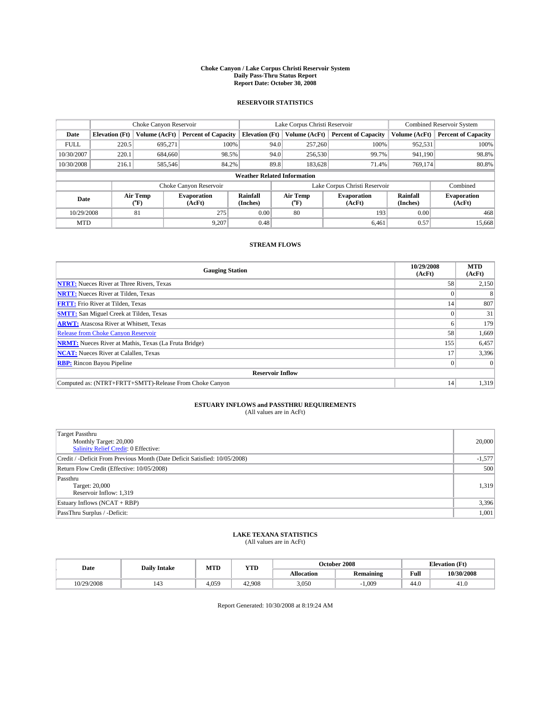#### **Choke Canyon / Lake Corpus Christi Reservoir System Daily Pass-Thru Status Report Report Date: October 30, 2008**

### **RESERVOIR STATISTICS**

|             | Choke Canyon Reservoir             |                  |                              |                       | Lake Corpus Christi Reservoir | <b>Combined Reservoir System</b> |                      |                              |  |
|-------------|------------------------------------|------------------|------------------------------|-----------------------|-------------------------------|----------------------------------|----------------------|------------------------------|--|
| Date        | <b>Elevation</b> (Ft)              | Volume (AcFt)    | <b>Percent of Capacity</b>   | <b>Elevation</b> (Ft) | Volume (AcFt)                 | <b>Percent of Capacity</b>       | Volume (AcFt)        | <b>Percent of Capacity</b>   |  |
| <b>FULL</b> | 220.5                              | 695,271          | 100%                         | 94.0                  | 257,260                       | 100%                             | 952,531              | 100%                         |  |
| 10/30/2007  | 220.1                              | 684,660          | 98.5%                        | 94.0                  | 256,530                       | 99.7%                            | 941,190              | 98.8%                        |  |
| 10/30/2008  | 216.1                              | 585,546          | 84.2%                        | 89.8                  | 183,628                       | 71.4%                            | 769,174              | 80.8%                        |  |
|             | <b>Weather Related Information</b> |                  |                              |                       |                               |                                  |                      |                              |  |
|             |                                    |                  | Choke Canyon Reservoir       |                       | Lake Corpus Christi Reservoir |                                  |                      | Combined                     |  |
| Date        |                                    | Air Temp<br>(°F) | <b>Evaporation</b><br>(AcFt) | Rainfall<br>(Inches)  | Air Temp<br>("F)              | <b>Evaporation</b><br>(AcFt)     | Rainfall<br>(Inches) | <b>Evaporation</b><br>(AcFt) |  |
| 10/29/2008  |                                    | 81               | 275                          | 0.00                  | 80                            | 193                              | 0.00                 | 468                          |  |
| <b>MTD</b>  |                                    |                  | 9.207                        | 0.48                  |                               | 6.461                            | 0.57                 | 15,668                       |  |

### **STREAM FLOWS**

| <b>Gauging Station</b>                                       | 10/29/2008<br>(AcFt) | <b>MTD</b><br>(AcFt) |  |  |  |  |  |
|--------------------------------------------------------------|----------------------|----------------------|--|--|--|--|--|
| <b>NTRT:</b> Nueces River at Three Rivers, Texas             | 58                   | 2,150                |  |  |  |  |  |
| <b>NRTT:</b> Nueces River at Tilden, Texas                   |                      |                      |  |  |  |  |  |
| <b>FRTT:</b> Frio River at Tilden, Texas                     | 14                   | 807                  |  |  |  |  |  |
| <b>SMTT:</b> San Miguel Creek at Tilden, Texas               |                      | 31                   |  |  |  |  |  |
| <b>ARWT:</b> Atascosa River at Whitsett, Texas               | n.                   | 179                  |  |  |  |  |  |
| <b>Release from Choke Canyon Reservoir</b>                   | 58                   | 1,669                |  |  |  |  |  |
| <b>NRMT:</b> Nueces River at Mathis, Texas (La Fruta Bridge) | 155                  | 6,457                |  |  |  |  |  |
| <b>NCAT:</b> Nueces River at Calallen, Texas                 | 17                   | 3,396                |  |  |  |  |  |
| <b>RBP:</b> Rincon Bayou Pipeline                            | $\theta$             |                      |  |  |  |  |  |
| <b>Reservoir Inflow</b>                                      |                      |                      |  |  |  |  |  |
| Computed as: (NTRT+FRTT+SMTT)-Release From Choke Canyon      | 14                   | 1,319                |  |  |  |  |  |

# **ESTUARY INFLOWS and PASSTHRU REQUIREMENTS**<br>(All values are in AcFt)

| <b>Target Passthru</b><br>Monthly Target: 20,000<br>Salinity Relief Credit: 0 Effective: | 20,000   |
|------------------------------------------------------------------------------------------|----------|
| Credit / -Deficit From Previous Month (Date Deficit Satisfied: 10/05/2008)               | $-1,577$ |
| Return Flow Credit (Effective: 10/05/2008)                                               | 500      |
| Passthru<br>Target: 20,000<br>Reservoir Inflow: 1,319                                    | 1,319    |
| Estuary Inflows (NCAT + RBP)                                                             | 3,396    |
| PassThru Surplus / -Deficit:                                                             | 1,001    |

## **LAKE TEXANA STATISTICS** (All values are in AcFt)

| Date |            | <b>Daily Intake</b> | MTD   | <b>YTD</b> |            | October 2008     | <b>Elevation</b> (Ft) |            |
|------|------------|---------------------|-------|------------|------------|------------------|-----------------------|------------|
|      |            |                     |       |            | Allocation | <b>Remaining</b> | Full                  | 10/30/2008 |
|      | 10/29/2008 |                     | 4.059 | 42.908     | 3,050      | .009             | 44.0                  | 41.0       |

Report Generated: 10/30/2008 at 8:19:24 AM